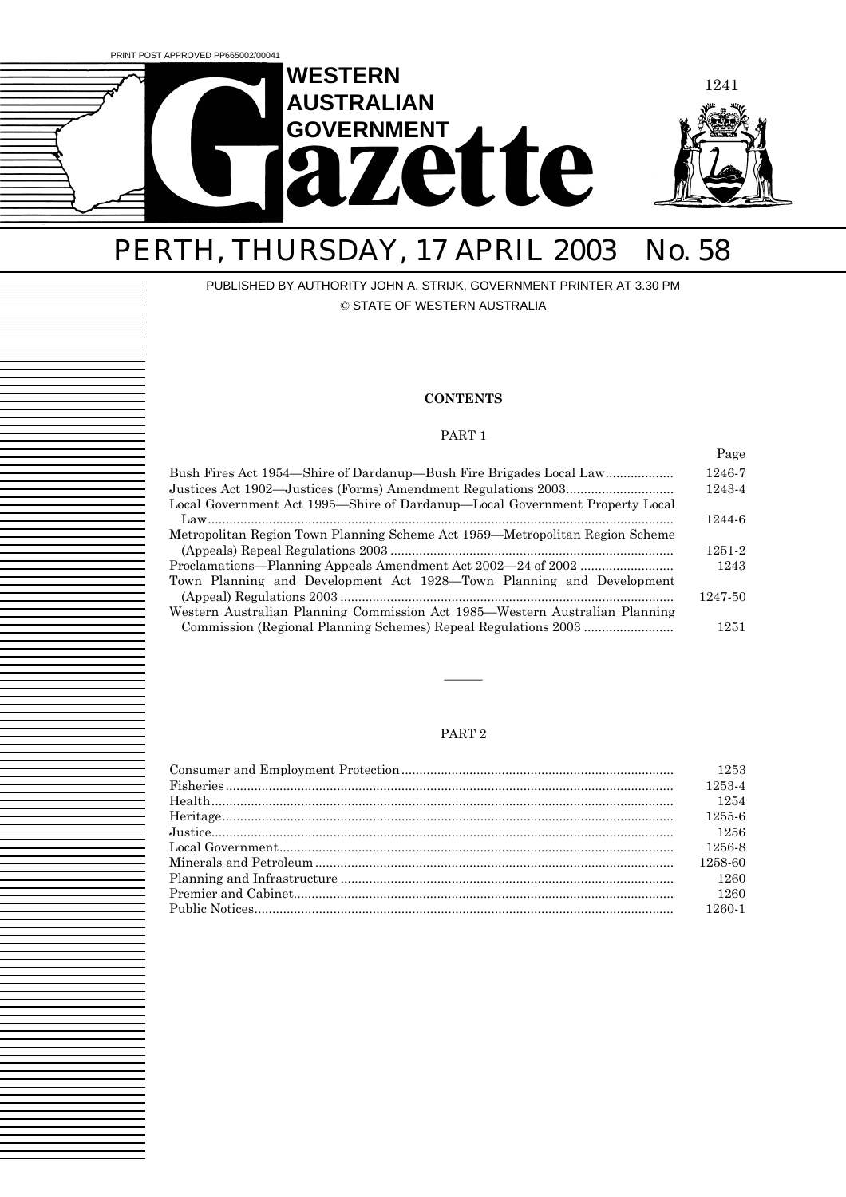

# PERTH, THURSDAY, 17 APRIL 2003 No. 58

#### PUBLISHED BY AUTHORITY JOHN A. STRIJK, GOVERNMENT PRINTER AT 3.30 PM © STATE OF WESTERN AUSTRALIA

#### **CONTENTS**

#### PART 1

|                                                                              | Page    |
|------------------------------------------------------------------------------|---------|
| Bush Fires Act 1954—Shire of Dardanup—Bush Fire Brigades Local Law           | 1246-7  |
|                                                                              | 1243-4  |
| Local Government Act 1995—Shire of Dardanup—Local Government Property Local  | 1244-6  |
| Metropolitan Region Town Planning Scheme Act 1959—Metropolitan Region Scheme |         |
|                                                                              | 1251-2  |
|                                                                              | 1243    |
| Town Planning and Development Act 1928–Town Planning and Development         |         |
|                                                                              | 1247-50 |
| Western Australian Planning Commission Act 1985—Western Australian Planning  |         |
|                                                                              | 1251    |

#### PART 2

óóó

| 1253    |
|---------|
| 1253-4  |
| 1254    |
| 1255-6  |
| 1256    |
| 1256-8  |
| 1258-60 |
| 1260    |
| 1260    |
| 1260-1  |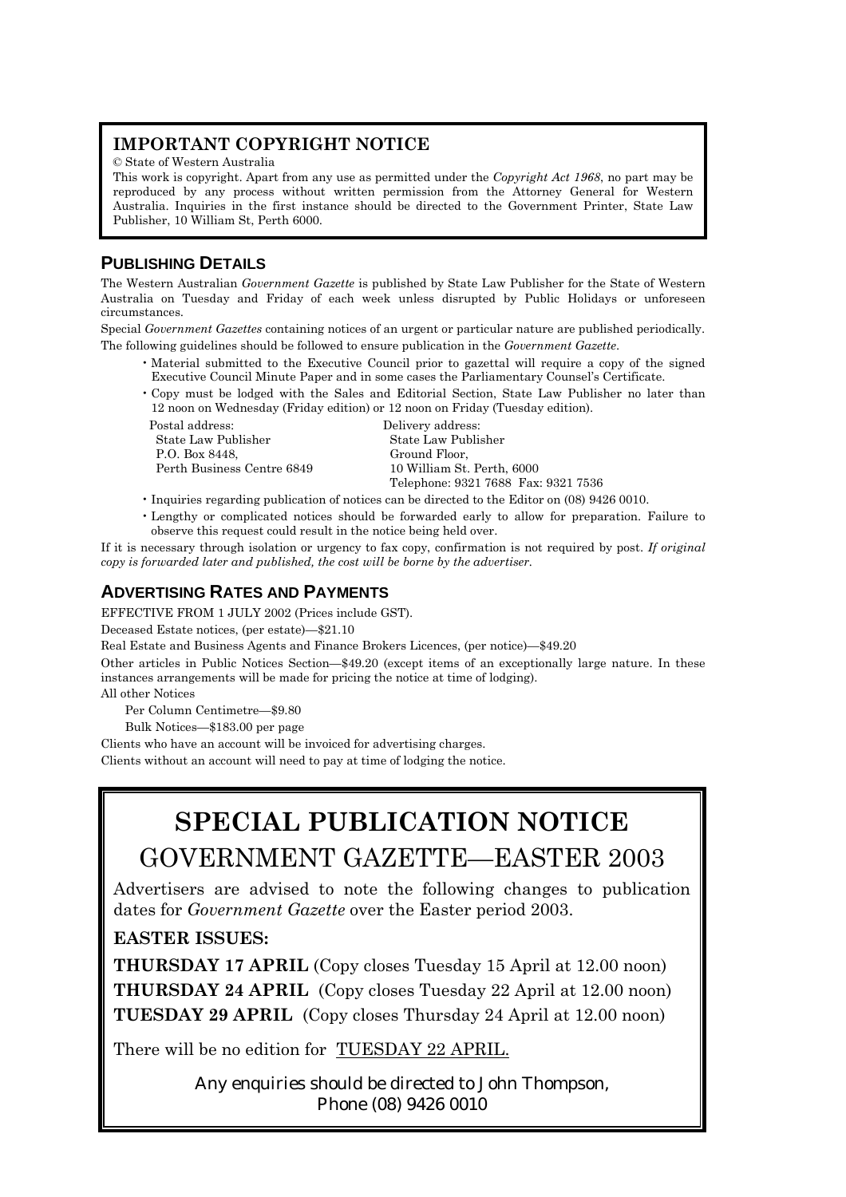## **IMPORTANT COPYRIGHT NOTICE**

© State of Western Australia

This work is copyright. Apart from any use as permitted under the *Copyright Act 1968*, no part may be reproduced by any process without written permission from the Attorney General for Western Australia. Inquiries in the first instance should be directed to the Government Printer, State Law Publisher, 10 William St, Perth 6000.

## **PUBLISHING DETAILS**

The Western Australian *Government Gazette* is published by State Law Publisher for the State of Western Australia on Tuesday and Friday of each week unless disrupted by Public Holidays or unforeseen circumstances.

Special *Government Gazettes* containing notices of an urgent or particular nature are published periodically. The following guidelines should be followed to ensure publication in the *Government Gazette*.

- ï Material submitted to the Executive Council prior to gazettal will require a copy of the signed Executive Council Minute Paper and in some cases the Parliamentary Counselís Certificate.
- ï Copy must be lodged with the Sales and Editorial Section, State Law Publisher no later than 12 noon on Wednesday (Friday edition) or 12 noon on Friday (Tuesday edition).

Postal address: Delivery address: State Law Publisher State Law Publisher P.O. Box 8448, Ground Floor,

 Perth Business Centre 6849 10 William St. Perth, 6000 Telephone: 9321 7688 Fax: 9321 7536

- ï Inquiries regarding publication of notices can be directed to the Editor on (08) 9426 0010.
- ï Lengthy or complicated notices should be forwarded early to allow for preparation. Failure to observe this request could result in the notice being held over.

If it is necessary through isolation or urgency to fax copy, confirmation is not required by post. *If original copy is forwarded later and published, the cost will be borne by the advertiser.*

## **ADVERTISING RATES AND PAYMENTS**

EFFECTIVE FROM 1 JULY 2002 (Prices include GST).

Deceased Estate notices, (per estate)-\$21.10

Real Estate and Business Agents and Finance Brokers Licences, (per notice)–\$49.20

Other articles in Public Notices Section—\$49.20 (except items of an exceptionally large nature. In these instances arrangements will be made for pricing the notice at time of lodging).

All other Notices

Per Column Centimetre–\$9.80

Bulk Notices-\$183.00 per page

Clients who have an account will be invoiced for advertising charges.

Clients without an account will need to pay at time of lodging the notice.

## **SPECIAL PUBLICATION NOTICE** GOVERNMENT GAZETTE-EASTER 2003

Advertisers are advised to note the following changes to publication dates for *Government Gazette* over the Easter period 2003.

## **EASTER ISSUES:**

**THURSDAY 17 APRIL** (Copy closes Tuesday 15 April at 12.00 noon) **THURSDAY 24 APRIL** (Copy closes Tuesday 22 April at 12.00 noon) **TUESDAY 29 APRIL** (Copy closes Thursday 24 April at 12.00 noon)

There will be no edition for TUESDAY 22 APRIL.

Any enquiries should be directed to John Thompson, Phone (08) 9426 0010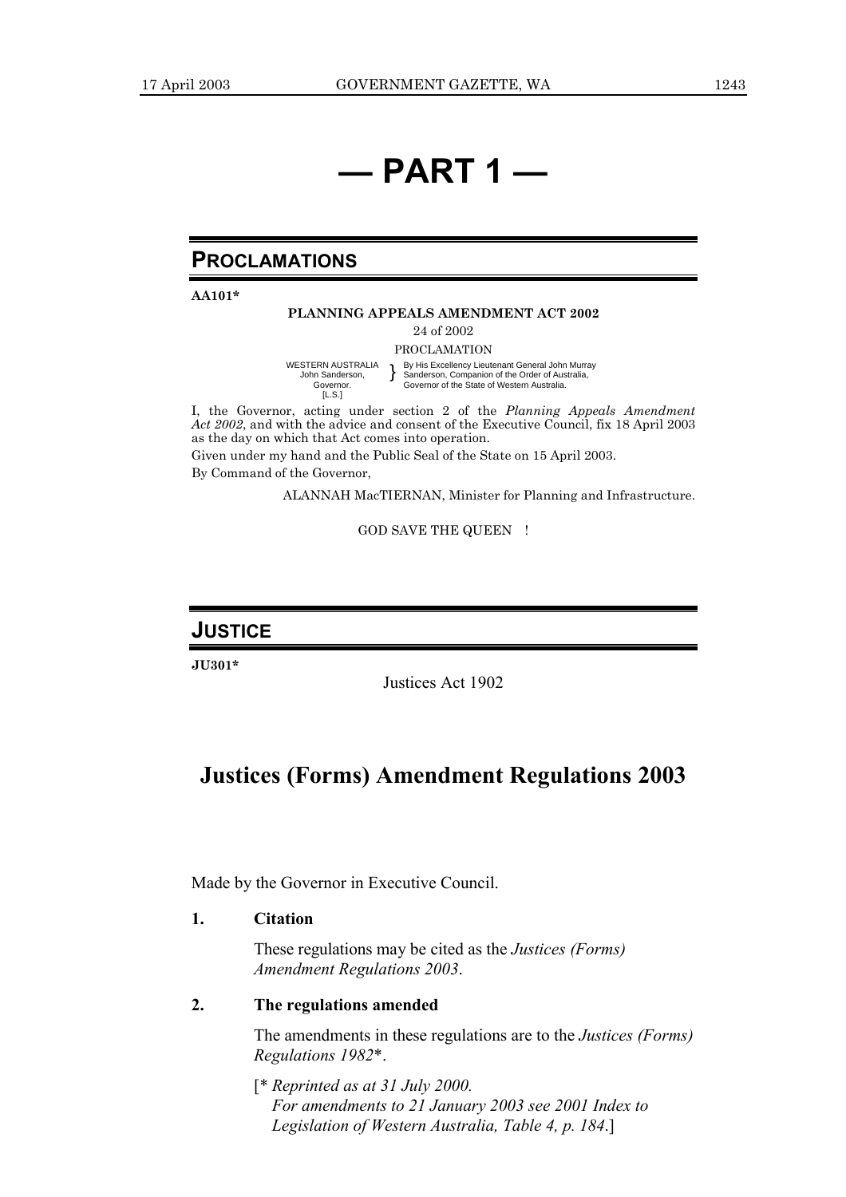## *<u>d</u>* **PART 1**

## **PROCLAMATIONS**

**AA101\***

#### **PLANNING APPEALS AMENDMENT ACT 2002**

24 of 2002

PROCLAMATION

WESTERN AUSTRALIA John Sanderson, Governor. [L.S.] } By His Excellency Lieutenant General John Murray Sanderson, Companion of the Order of Australia, Governor of the State of Western Australia.

I, the Governor, acting under section 2 of the *Planning Appeals Amendment Act 2002*, and with the advice and consent of the Executive Council, fix 18 April 2003 as the day on which that Act comes into operation.

Given under my hand and the Public Seal of the State on 15 April 2003. By Command of the Governor,

ALANNAH MacTIERNAN, Minister for Planning and Infrastructure.

#### GOD SAVE THE QUEEN !

#### **JUSTICE**

**JU301\***

Justices Act 1902

## **Justices (Forms) Amendment Regulations 2003**

Made by the Governor in Executive Council.

#### **1. Citation**

These regulations may be cited as the *Justices (Forms) Amendment Regulations 2003*.

#### **2. The regulations amended**

The amendments in these regulations are to the *Justices (Forms) Regulations 1982*\*.

[\* *Reprinted as at 31 July 2000. For amendments to 21 January 2003 see 2001 Index to Legislation of Western Australia, Table 4, p. 184*.]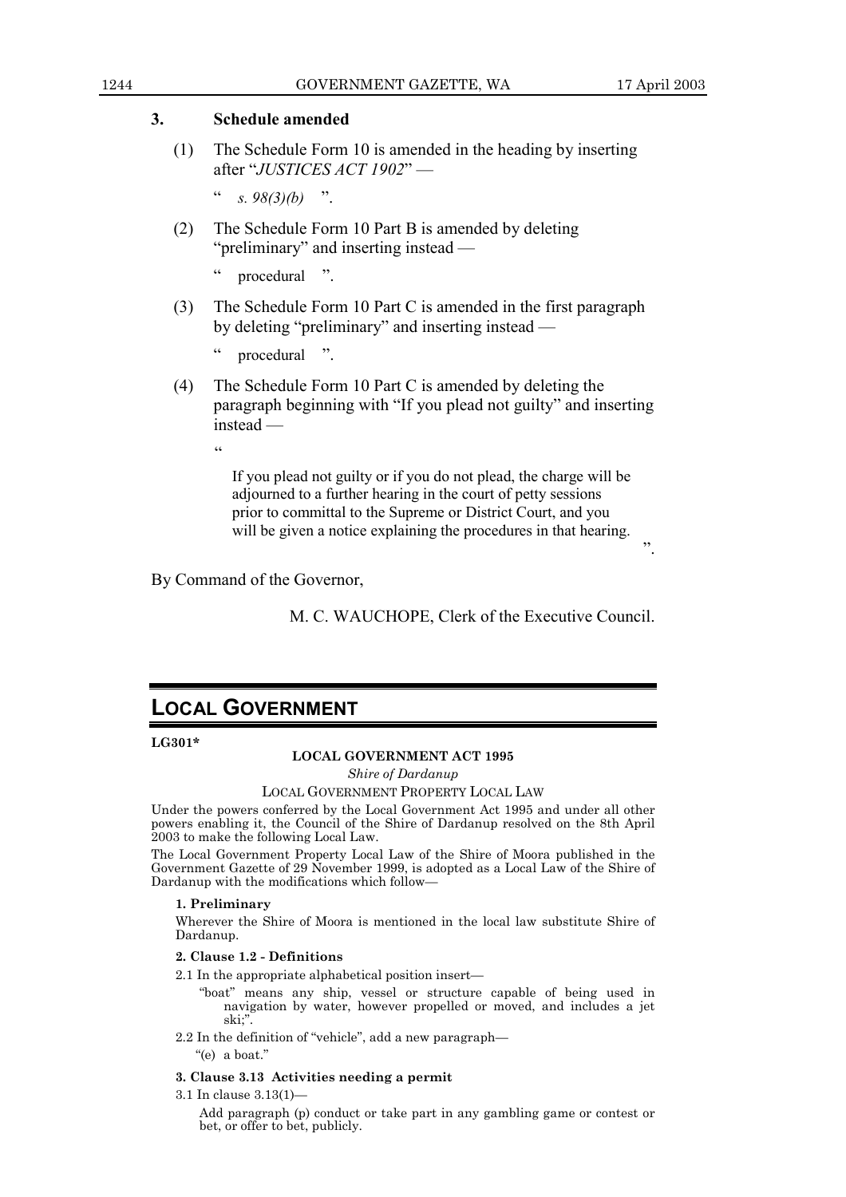î.

#### **3. Schedule amended**

(1) The Schedule Form 10 is amended in the heading by inserting after "*JUSTICES ACT 1902*" —

 $\frac{1}{s}$   $\frac{98(3)}{b}$  ...

(2) The Schedule Form 10 Part B is amended by deleting " $preliminary"$  and inserting instead  $-$ 

 $\cdot$  procedural  $\cdot$ .

(3) The Schedule Form 10 Part C is amended in the first paragraph by deleting "preliminary" and inserting instead —

procedural ".

(4) The Schedule Form 10 Part C is amended by deleting the paragraph beginning with "If you plead not guilty" and inserting instead —

ì

If you plead not guilty or if you do not plead, the charge will be adjourned to a further hearing in the court of petty sessions prior to committal to the Supreme or District Court, and you will be given a notice explaining the procedures in that hearing.

By Command of the Governor,

M. C. WAUCHOPE, Clerk of the Executive Council.

## **LOCAL GOVERNMENT**

**LG301\***

#### **LOCAL GOVERNMENT ACT 1995**

*Shire of Dardanup*

#### LOCAL GOVERNMENT PROPERTY LOCAL LAW

Under the powers conferred by the Local Government Act 1995 and under all other powers enabling it, the Council of the Shire of Dardanup resolved on the 8th April 2003 to make the following Local Law.

The Local Government Property Local Law of the Shire of Moora published in the Government Gazette of 29 November 1999, is adopted as a Local Law of the Shire of Dardanup with the modifications which follow-

#### **1. Preliminary**

Wherever the Shire of Moora is mentioned in the local law substitute Shire of Dardanup.

#### **2. Clause 1.2 - Definitions**

 $2.1$  In the appropriate alphabetical position insert—

- ìboatî means any ship, vessel or structure capable of being used in navigation by water, however propelled or moved, and includes a jet ski;"
- 2.2 In the definition of "vehicle", add a new paragraph—

 $"$ (e) a boat."

#### **3. Clause 3.13 Activities needing a permit**

3.1 In clause  $3.13(1)$  –

Add paragraph (p) conduct or take part in any gambling game or contest or bet, or offer to bet, publicly.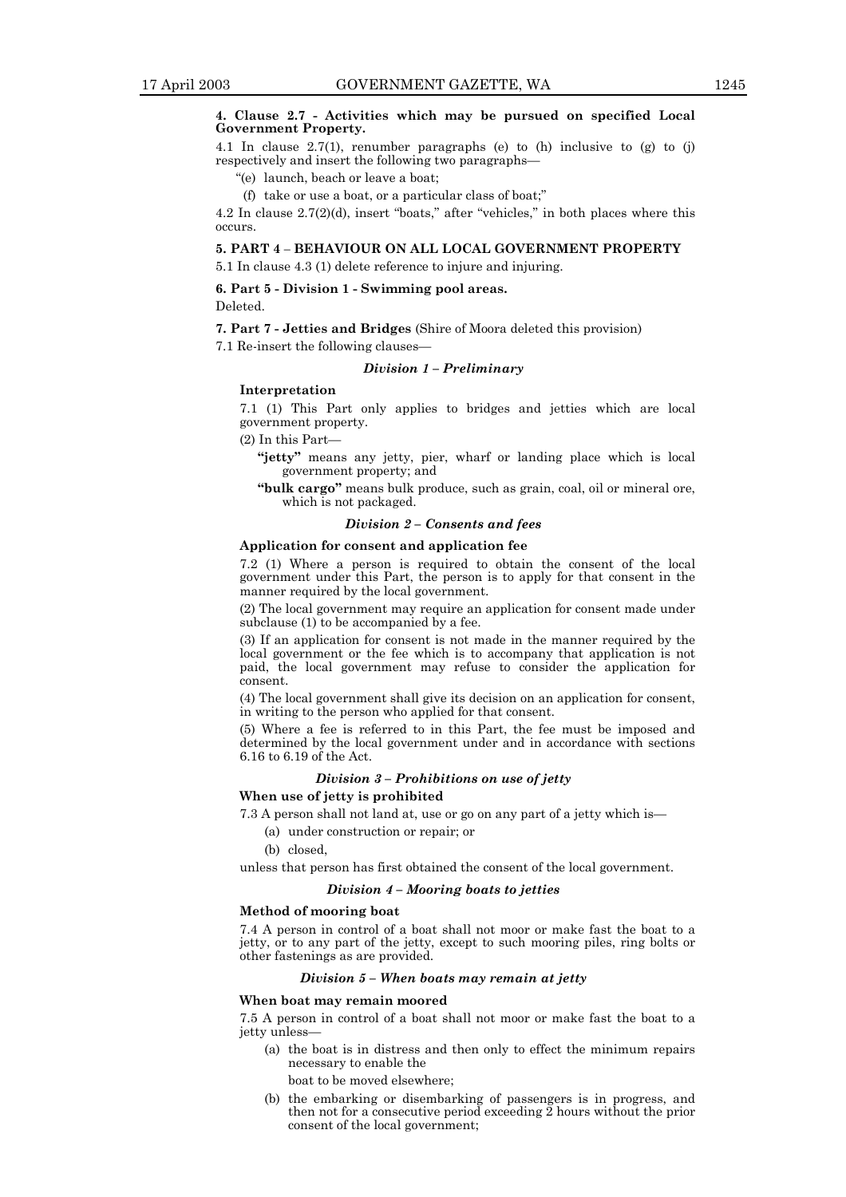#### **4. Clause 2.7 - Activities which may be pursued on specified Local Government Property.**

4.1 In clause 2.7(1), renumber paragraphs (e) to (h) inclusive to (g) to (j) respectively and insert the following two paragraphs-

ì(e) launch, beach or leave a boat;

(f) take or use a boat, or a particular class of boat; $\dddot{ }$ 

4.2 In clause  $2.7(2)(d)$ , insert "boats," after "vehicles," in both places where this occurs.

#### **5. PART 4 - BEHAVIOUR ON ALL LOCAL GOVERNMENT PROPERTY**

5.1 In clause 4.3 (1) delete reference to injure and injuring.

#### **6. Part 5 - Division 1 - Swimming pool areas.**

Deleted.

**7. Part 7 - Jetties and Bridges** (Shire of Moora deleted this provision)

#### 7.1 Re-insert the following clauses— *Division 1 - Preliminary*

#### **Interpretation**

7.1 (1) This Part only applies to bridges and jetties which are local government property.

 $(2)$  In this Part-

**ìjettyî** means any jetty, pier, wharf or landing place which is local government property; and

**ìbulk cargoî** means bulk produce, such as grain, coal, oil or mineral ore, which is not packaged.

#### *Division 2 – Consents and fees*

#### **Application for consent and application fee**

7.2 (1) Where a person is required to obtain the consent of the local government under this Part, the person is to apply for that consent in the manner required by the local government.

(2) The local government may require an application for consent made under subclause (1) to be accompanied by a fee.

(3) If an application for consent is not made in the manner required by the local government or the fee which is to accompany that application is not paid, the local government may refuse to consider the application for consent.

(4) The local government shall give its decision on an application for consent, in writing to the person who applied for that consent.

(5) Where a fee is referred to in this Part, the fee must be imposed and determined by the local government under and in accordance with sections 6.16 to 6.19 of the Act.

#### *Division 3 - Prohibitions on use of jetty*

#### **When use of jetty is prohibited**

7.3 A person shall not land at, use or go on any part of a jetty which is—

- (a) under construction or repair; or
- (b) closed,

unless that person has first obtained the consent of the local government.

#### *Division 4 - Mooring boats to jetties*

#### **Method of mooring boat**

7.4 A person in control of a boat shall not moor or make fast the boat to a jetty, or to any part of the jetty, except to such mooring piles, ring bolts or other fastenings as are provided.

#### *Division 5 – When boats may remain at jetty*

#### **When boat may remain moored**

7.5 A person in control of a boat shall not moor or make fast the boat to a jetty unless-

(a) the boat is in distress and then only to effect the minimum repairs necessary to enable the

boat to be moved elsewhere;

(b) the embarking or disembarking of passengers is in progress, and then not for a consecutive period exceeding 2 hours without the prior consent of the local government;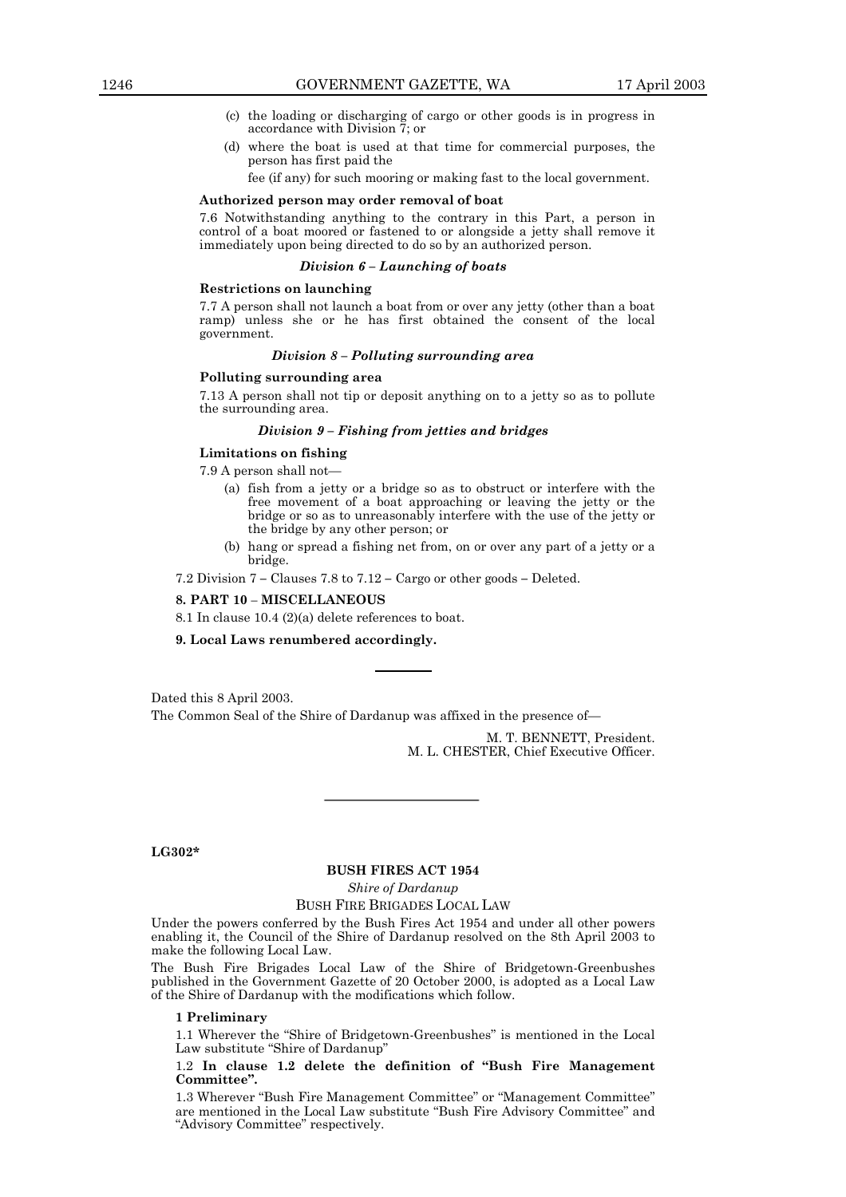- (c) the loading or discharging of cargo or other goods is in progress in accordance with Division 7; or
- (d) where the boat is used at that time for commercial purposes, the person has first paid the

fee (if any) for such mooring or making fast to the local government.

#### **Authorized person may order removal of boat**

7.6 Notwithstanding anything to the contrary in this Part, a person in control of a boat moored or fastened to or alongside a jetty shall remove it immediately upon being directed to do so by an authorized person.

#### *Division 6 – Launching of boats*

#### **Restrictions on launching**

7.7 A person shall not launch a boat from or over any jetty (other than a boat ramp) unless she or he has first obtained the consent of the local government.

#### *Division 8 - Polluting surrounding area*

#### **Polluting surrounding area**

7.13 A person shall not tip or deposit anything on to a jetty so as to pollute the surrounding area.

#### *Division 9 - Fishing from jetties and bridges*

#### **Limitations on fishing**

 $7.9$  A person shall not-

- (a) fish from a jetty or a bridge so as to obstruct or interfere with the free movement of a boat approaching or leaving the jetty or the bridge or so as to unreasonably interfere with the use of the jetty or the bridge by any other person; or
- (b) hang or spread a fishing net from, on or over any part of a jetty or a bridge.

7.2 Division 7 – Clauses 7.8 to 7.12 – Cargo or other goods – Deleted.

#### **8. PART 10 - MISCELLANEOUS**

8.1 In clause 10.4 (2)(a) delete references to boat.

**9. Local Laws renumbered accordingly.**

Dated this 8 April 2003. The Common Seal of the Shire of Dardanup was affixed in the presence of

> M. T. BENNETT, President. M. L. CHESTER, Chief Executive Officer.

**LG302\***

#### **BUSH FIRES ACT 1954**

*Shire of Dardanup*

#### BUSH FIRE BRIGADES LOCAL LAW

Under the powers conferred by the Bush Fires Act 1954 and under all other powers enabling it, the Council of the Shire of Dardanup resolved on the 8th April 2003 to make the following Local Law.

The Bush Fire Brigades Local Law of the Shire of Bridgetown-Greenbushes published in the Government Gazette of 20 October 2000, is adopted as a Local Law of the Shire of Dardanup with the modifications which follow.

#### **1 Preliminary**

1.1 Wherever the "Shire of Bridgetown-Greenbushes" is mentioned in the Local Law substitute "Shire of Dardanup"

#### 1.2 In clause 1.2 delete the definition of "Bush Fire Management **Committeeî.**

1.3 Wherever "Bush Fire Management Committee" or "Management Committee" are mentioned in the Local Law substitute "Bush Fire Advisory Committee" and ìAdvisory Committeeî respectively.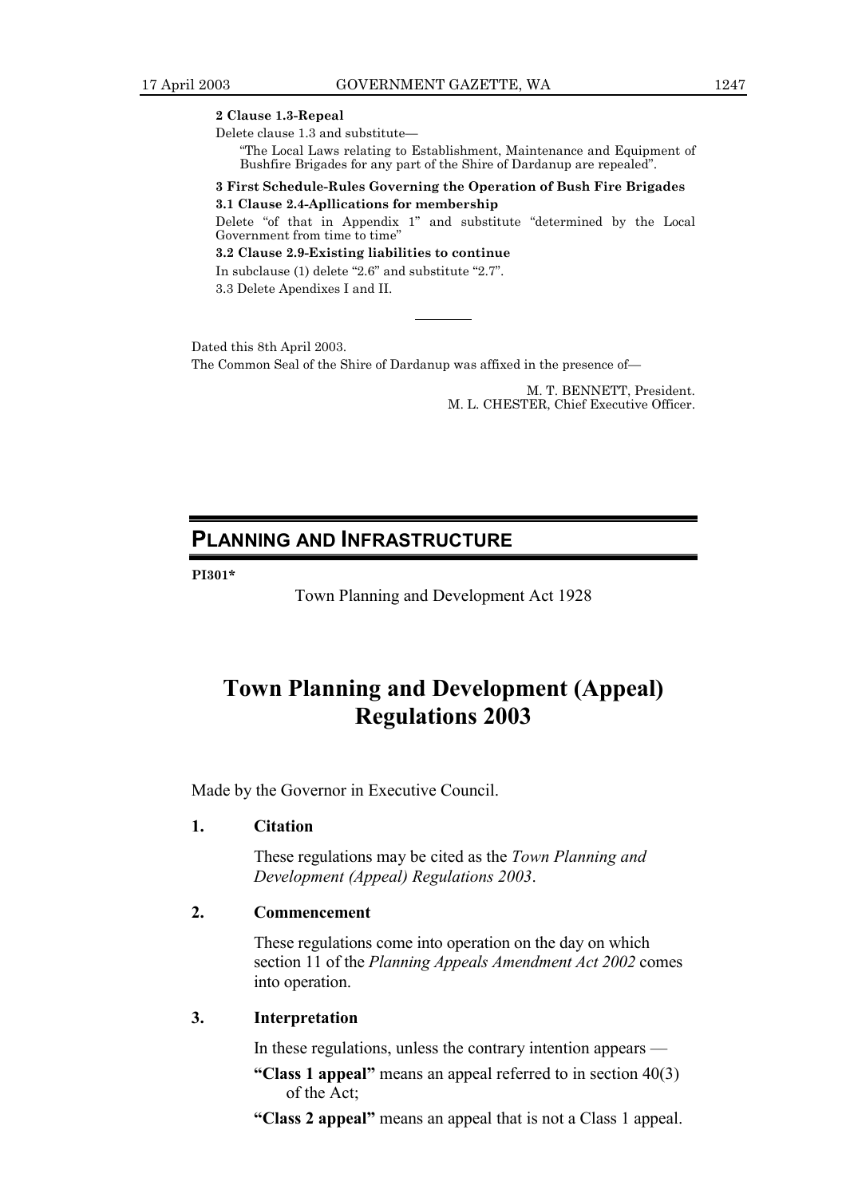**2 Clause 1.3-Repeal**

Delete clause 1.3 and substitute-

ìThe Local Laws relating to Establishment, Maintenance and Equipment of Bushfire Brigades for any part of the Shire of Dardanup are repealed".

#### **3 First Schedule-Rules Governing the Operation of Bush Fire Brigades 3.1 Clause 2.4-Apllications for membership**

Delete "of that in Appendix 1" and substitute "determined by the Local Government from time to time'

**3.2 Clause 2.9-Existing liabilities to continue** In subclause  $(1)$  delete "2.6" and substitute "2.7".

3.3 Delete Apendixes I and II.

Dated this 8th April 2003. The Common Seal of the Shire of Dardanup was affixed in the presence of-

> M. T. BENNETT, President. M. L. CHESTER, Chief Executive Officer.

## **PLANNING AND INFRASTRUCTURE**

**PI301\***

Town Planning and Development Act 1928

## **Town Planning and Development (Appeal) Regulations 2003**

Made by the Governor in Executive Council.

#### **1. Citation**

These regulations may be cited as the *Town Planning and Development (Appeal) Regulations 2003*.

#### **2. Commencement**

These regulations come into operation on the day on which section 11 of the *Planning Appeals Amendment Act 2002* comes into operation.

#### **3. Interpretation**

In these regulations, unless the contrary intention appears  $\overline{\phantom{a}}$ 

- **"Class 1 appeal"** means an appeal referred to in section 40(3) of the Act;
- **ìClass 2 appealî** means an appeal that is not a Class 1 appeal.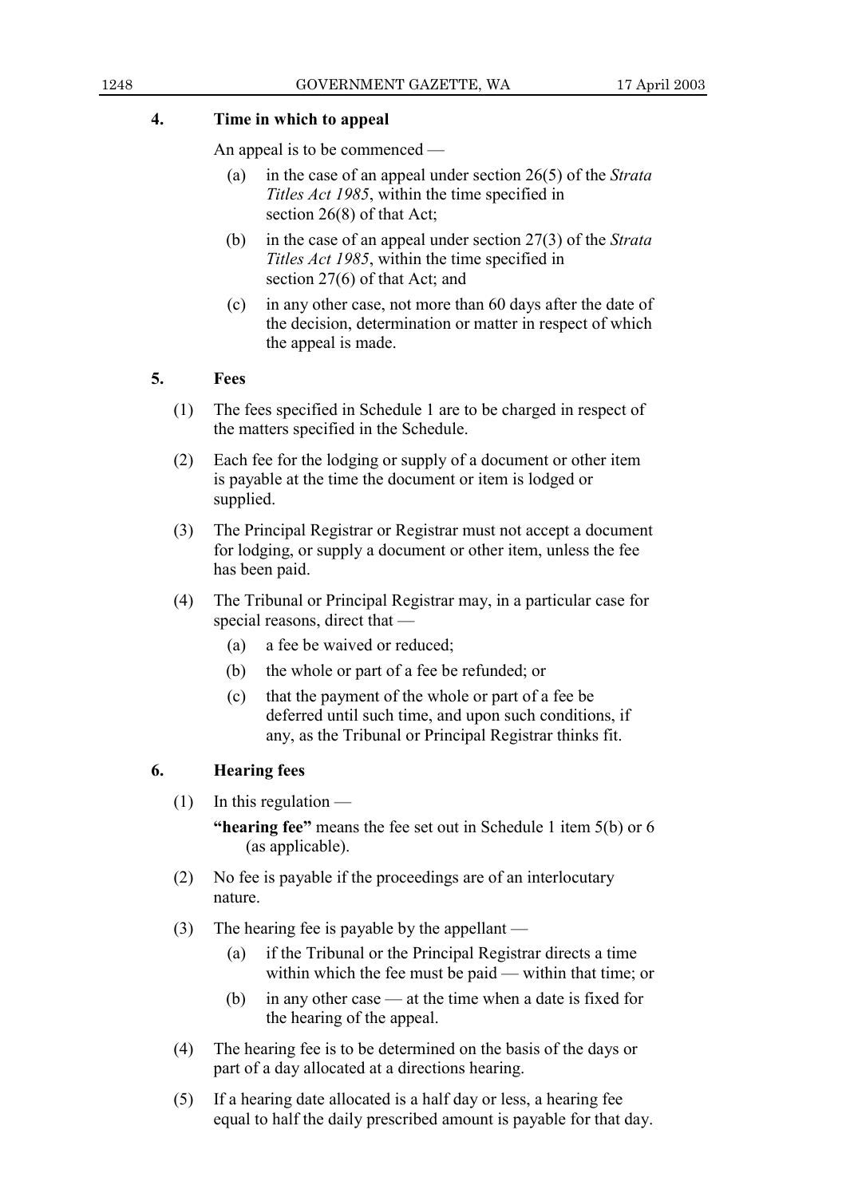### **4. Time in which to appeal**

An appeal is to be commenced  $-$ 

- (a) in the case of an appeal under section 26(5) of the *Strata Titles Act 1985*, within the time specified in section 26(8) of that Act;
- (b) in the case of an appeal under section 27(3) of the *Strata Titles Act 1985*, within the time specified in section 27(6) of that Act; and
- (c) in any other case, not more than 60 days after the date of the decision, determination or matter in respect of which the appeal is made.

## **5. Fees**

- (1) The fees specified in Schedule 1 are to be charged in respect of the matters specified in the Schedule.
- (2) Each fee for the lodging or supply of a document or other item is payable at the time the document or item is lodged or supplied.
- (3) The Principal Registrar or Registrar must not accept a document for lodging, or supply a document or other item, unless the fee has been paid.
- (4) The Tribunal or Principal Registrar may, in a particular case for special reasons, direct that  $-$ 
	- (a) a fee be waived or reduced;
	- (b) the whole or part of a fee be refunded; or
	- (c) that the payment of the whole or part of a fee be deferred until such time, and upon such conditions, if any, as the Tribunal or Principal Registrar thinks fit.

## **6. Hearing fees**

 $(1)$  In this regulation  $\overline{\phantom{a}}$ 

**"hearing fee"** means the fee set out in Schedule 1 item 5(b) or 6 (as applicable).

- (2) No fee is payable if the proceedings are of an interlocutary nature.
- (3) The hearing fee is payable by the appellant  $\overline{\phantom{a}}$ 
	- (a) if the Tribunal or the Principal Registrar directs a time within which the fee must be paid  $-$  within that time; or
	- (b) in any other case  $\frac{d}{dx}$  at the time when a date is fixed for the hearing of the appeal.
- (4) The hearing fee is to be determined on the basis of the days or part of a day allocated at a directions hearing.
- (5) If a hearing date allocated is a half day or less, a hearing fee equal to half the daily prescribed amount is payable for that day.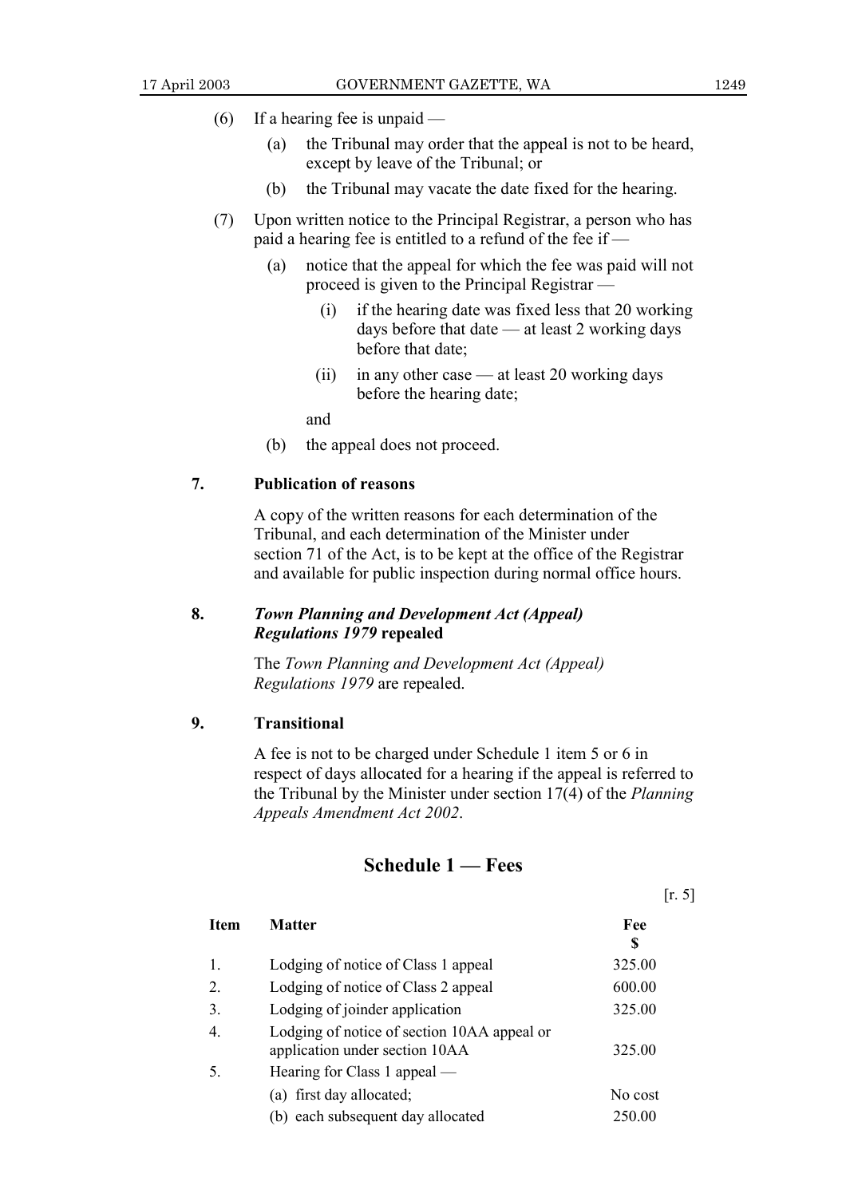$[r, 5]$ 

- (6) If a hearing fee is unpaid  $-$ 
	- (a) the Tribunal may order that the appeal is not to be heard, except by leave of the Tribunal; or
	- (b) the Tribunal may vacate the date fixed for the hearing.
- (7) Upon written notice to the Principal Registrar, a person who has paid a hearing fee is entitled to a refund of the fee if  $-$ 
	- (a) notice that the appeal for which the fee was paid will not proceed is given to the Principal Registrar  $-$ 
		- (i) if the hearing date was fixed less that 20 working days before that date  $-$  at least 2 working days before that date;
		- (ii) in any other case  $-$  at least 20 working days before the hearing date;

and

(b) the appeal does not proceed.

#### **7. Publication of reasons**

A copy of the written reasons for each determination of the Tribunal, and each determination of the Minister under section 71 of the Act, is to be kept at the office of the Registrar and available for public inspection during normal office hours.

## **8.** *Town Planning and Development Act (Appeal) Regulations 1979* **repealed**

The *Town Planning and Development Act (Appeal) Regulations 1979* are repealed.

#### **9. Transitional**

A fee is not to be charged under Schedule 1 item 5 or 6 in respect of days allocated for a hearing if the appeal is referred to the Tribunal by the Minister under section 17(4) of the *Planning Appeals Amendment Act 2002*.

## **Schedule 1 — Fees**

| Item | <b>Matter</b>                                                                 | Fee<br>S |
|------|-------------------------------------------------------------------------------|----------|
| 1.   | Lodging of notice of Class 1 appeal                                           | 325.00   |
| 2.   | Lodging of notice of Class 2 appeal                                           | 600.00   |
| 3.   | Lodging of joinder application                                                | 325.00   |
| 4.   | Lodging of notice of section 10AA appeal or<br>application under section 10AA | 325.00   |
| 5.   | Hearing for Class 1 appeal —                                                  |          |
|      | (a) first day allocated;                                                      | No cost  |
|      | (b) each subsequent day allocated                                             | 250.00   |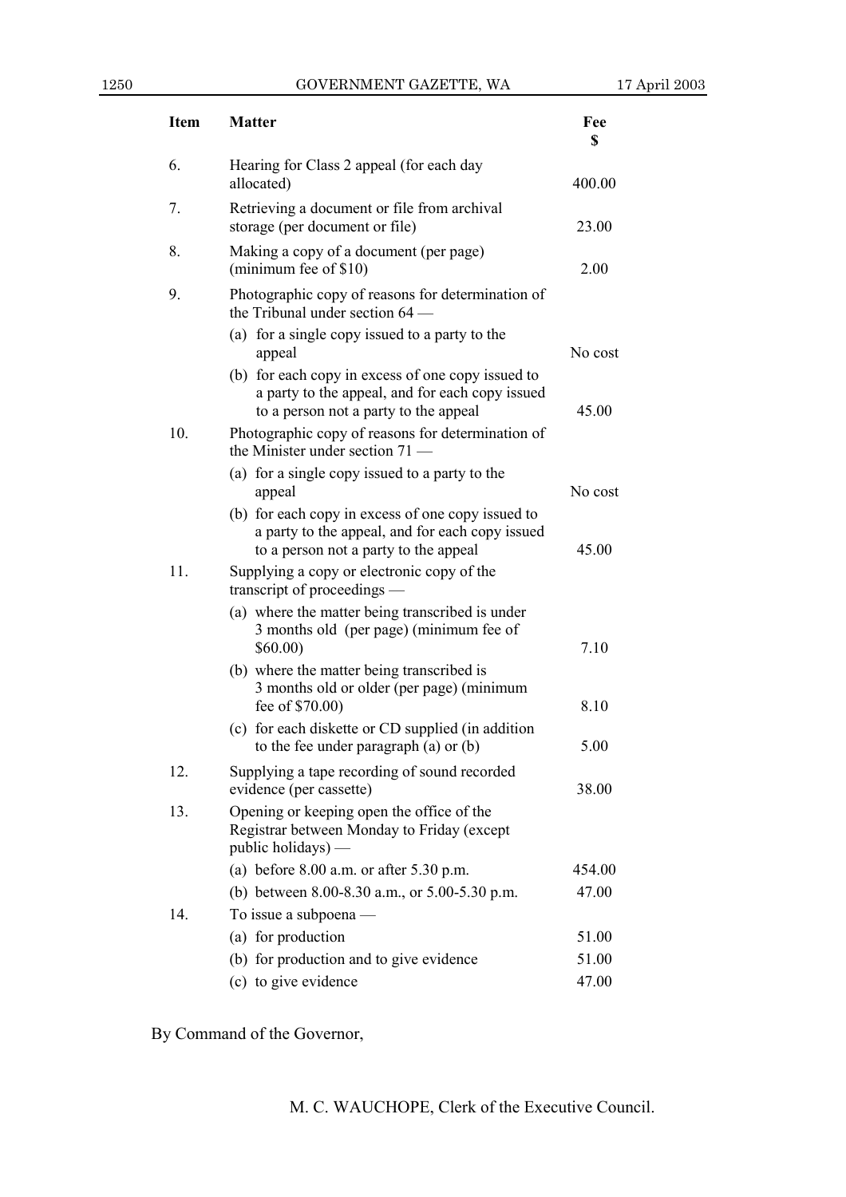| <b>Item</b> | <b>Matter</b>                                                                                                                                 | Fee<br>\$ |
|-------------|-----------------------------------------------------------------------------------------------------------------------------------------------|-----------|
| 6.          | Hearing for Class 2 appeal (for each day<br>allocated)                                                                                        | 400.00    |
| 7.          | Retrieving a document or file from archival<br>storage (per document or file)                                                                 | 23.00     |
| 8.          | Making a copy of a document (per page)<br>(minimum fee of \$10)                                                                               | 2.00      |
| 9.          | Photographic copy of reasons for determination of<br>the Tribunal under section $64$ —                                                        |           |
|             | (a) for a single copy issued to a party to the<br>appeal                                                                                      | No cost   |
|             | (b) for each copy in excess of one copy issued to<br>a party to the appeal, and for each copy issued<br>to a person not a party to the appeal | 45.00     |
| 10.         | Photographic copy of reasons for determination of<br>the Minister under section 71.                                                           |           |
|             | (a) for a single copy issued to a party to the<br>appeal                                                                                      | No cost   |
|             | (b) for each copy in excess of one copy issued to<br>a party to the appeal, and for each copy issued<br>to a person not a party to the appeal | 45.00     |
| 11.         | Supplying a copy or electronic copy of the<br>transcript of proceedings -                                                                     |           |
|             | (a) where the matter being transcribed is under<br>3 months old (per page) (minimum fee of<br>\$60.00)                                        | 7.10      |
|             | (b) where the matter being transcribed is<br>3 months old or older (per page) (minimum<br>fee of \$70.00)                                     | 8.10      |
|             | (c) for each diskette or CD supplied (in addition<br>to the fee under paragraph $(a)$ or $(b)$                                                | 5.00      |
| 12.         | Supplying a tape recording of sound recorded<br>evidence (per cassette)                                                                       | 38.00     |
| 13.         | Opening or keeping open the office of the<br>Registrar between Monday to Friday (except<br>public holidays) —                                 |           |
|             | (a) before $8.00$ a.m. or after $5.30$ p.m.                                                                                                   | 454.00    |
|             | (b) between 8.00-8.30 a.m., or 5.00-5.30 p.m.                                                                                                 | 47.00     |
| 14.         | To issue a subpoena —                                                                                                                         |           |
|             | (a) for production                                                                                                                            | 51.00     |
|             | (b) for production and to give evidence                                                                                                       | 51.00     |
|             | (c) to give evidence                                                                                                                          | 47.00     |

By Command of the Governor,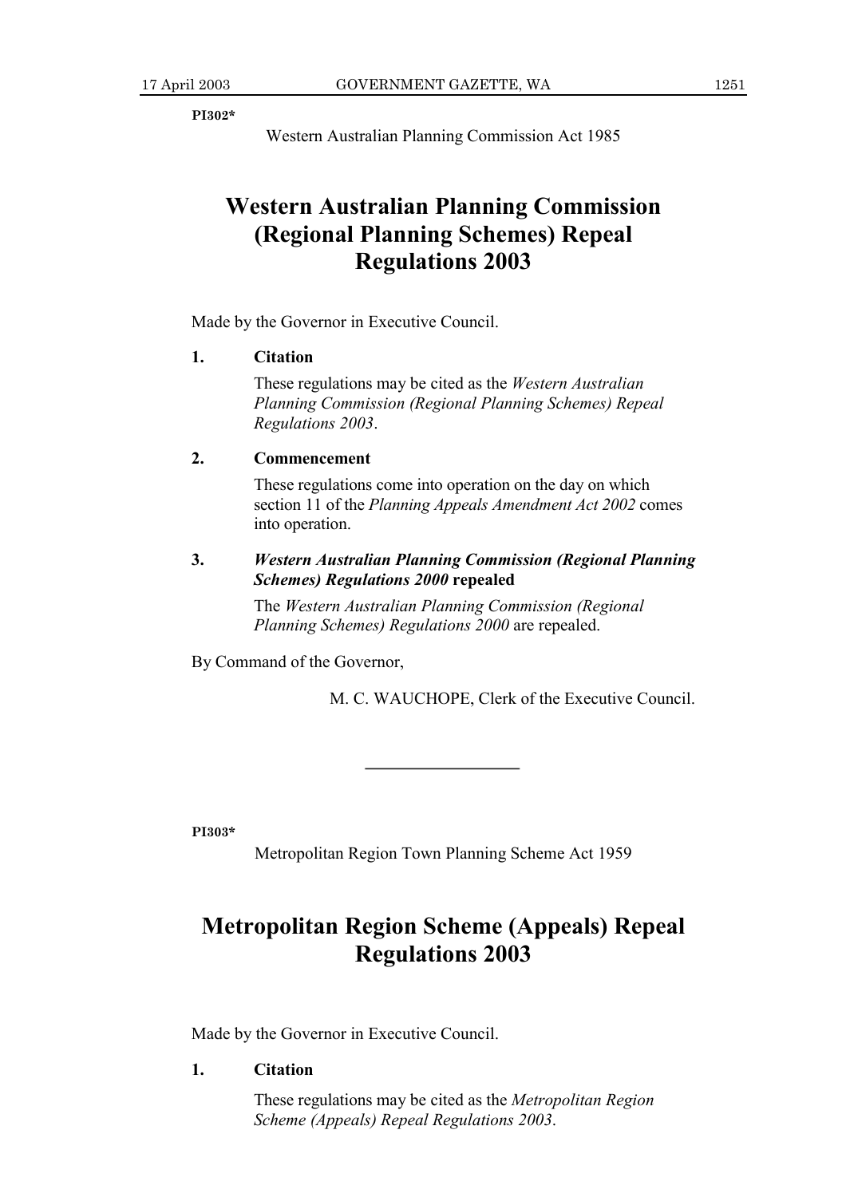**PI302\***

Western Australian Planning Commission Act 1985

## **Western Australian Planning Commission (Regional Planning Schemes) Repeal Regulations 2003**

Made by the Governor in Executive Council.

#### **1. Citation**

These regulations may be cited as the *Western Australian Planning Commission (Regional Planning Schemes) Repeal Regulations 2003*.

### **2. Commencement**

These regulations come into operation on the day on which section 11 of the *Planning Appeals Amendment Act 2002* comes into operation.

### **3.** *Western Australian Planning Commission (Regional Planning Schemes) Regulations 2000* **repealed**

The *Western Australian Planning Commission (Regional Planning Schemes) Regulations 2000* are repealed.

By Command of the Governor,

M. C. WAUCHOPE, Clerk of the Executive Council.

**PI303\***

Metropolitan Region Town Planning Scheme Act 1959

## **Metropolitan Region Scheme (Appeals) Repeal Regulations 2003**

Made by the Governor in Executive Council.

#### **1. Citation**

These regulations may be cited as the *Metropolitan Region Scheme (Appeals) Repeal Regulations 2003*.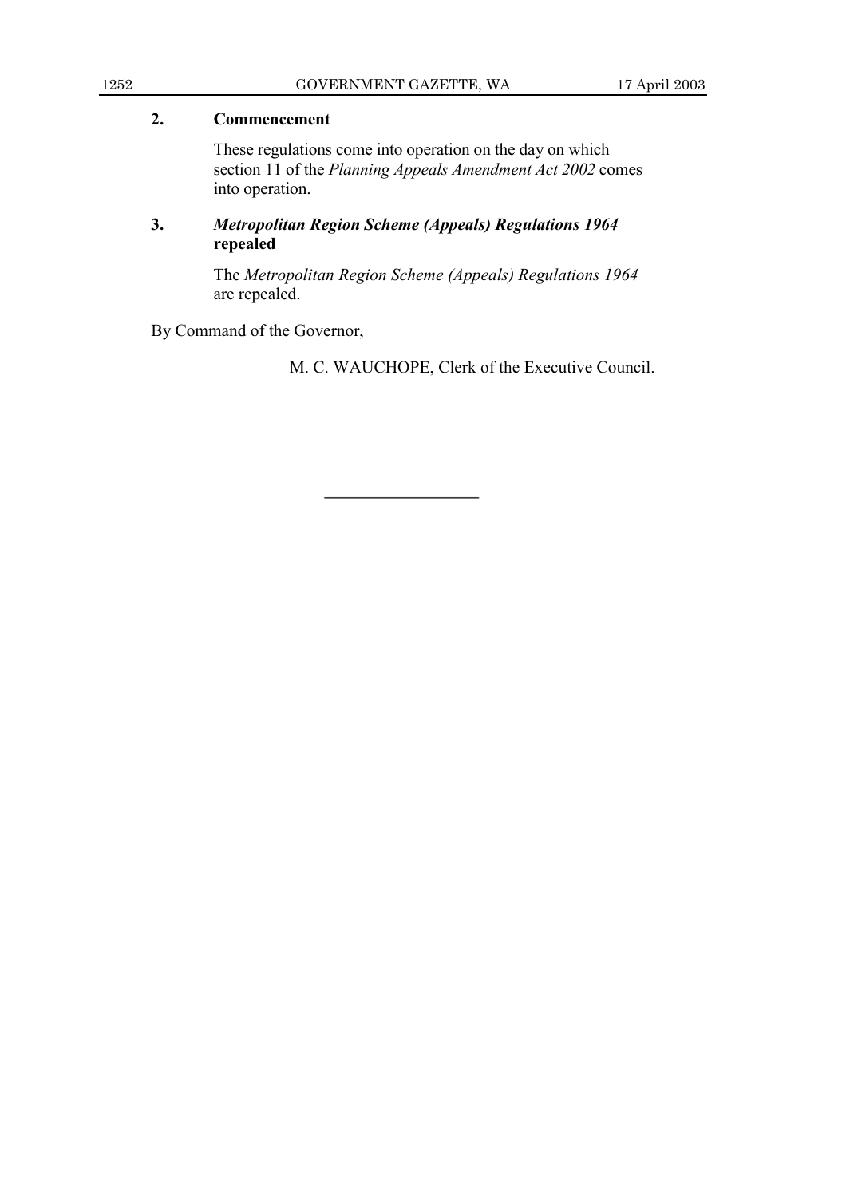### **2. Commencement**

These regulations come into operation on the day on which section 11 of the *Planning Appeals Amendment Act 2002* comes into operation.

## **3.** *Metropolitan Region Scheme (Appeals) Regulations 1964* **repealed**

The *Metropolitan Region Scheme (Appeals) Regulations 1964* are repealed.

By Command of the Governor,

M. C. WAUCHOPE, Clerk of the Executive Council.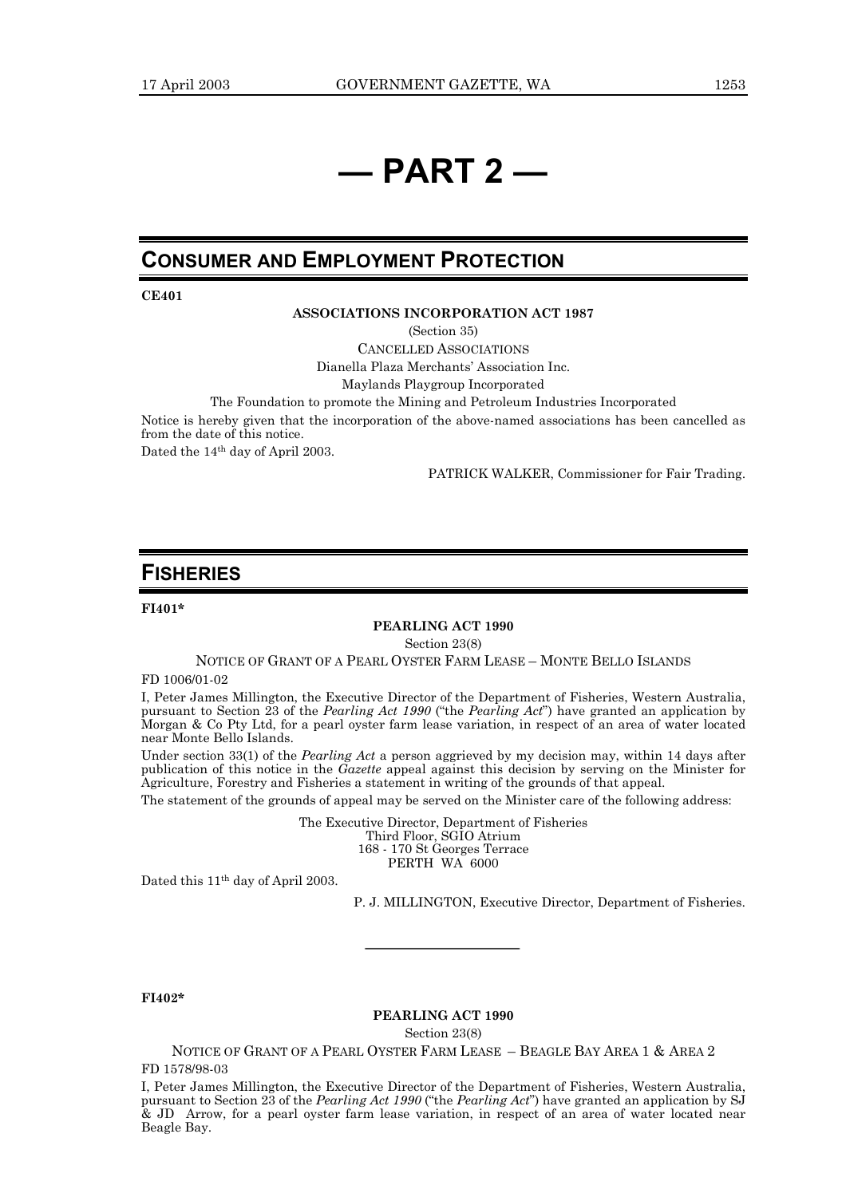## *<u>i</u>* **PART 2** —

## **CONSUMER AND EMPLOYMENT PROTECTION**

**CE401**

#### **ASSOCIATIONS INCORPORATION ACT 1987**

(Section 35)

CANCELLED ASSOCIATIONS Dianella Plaza Merchants' Association Inc.

Maylands Playgroup Incorporated

The Foundation to promote the Mining and Petroleum Industries Incorporated

Notice is hereby given that the incorporation of the above-named associations has been cancelled as from the date of this notice.

Dated the 14th day of April 2003.

PATRICK WALKER, Commissioner for Fair Trading.

## **FISHERIES**

**FI401\***

#### **PEARLING ACT 1990**

Section 23(8)

NOTICE OF GRANT OF A PEARL OYSTER FARM LEASE - MONTE BELLO ISLANDS

FD 1006/01-02

I, Peter James Millington, the Executive Director of the Department of Fisheries, Western Australia, pursuant to Section 23 of the *Pearling Act 1990* ("the *Pearling Act*") have granted an application by Morgan & Co Pty Ltd, for a pearl oyster farm lease variation, in respect of an area of water located near Monte Bello Islands.

Under section 33(1) of the *Pearling Act* a person aggrieved by my decision may, within 14 days after publication of this notice in the *Gazette* appeal against this decision by serving on the Minister for Agriculture, Forestry and Fisheries a statement in writing of the grounds of that appeal.

The statement of the grounds of appeal may be served on the Minister care of the following address:

The Executive Director, Department of Fisheries Third Floor, SGIO Atrium 168 - 170 St Georges Terrace PERTH WA 6000

Dated this 11th day of April 2003.

P. J. MILLINGTON, Executive Director, Department of Fisheries.

**FI402\***

#### **PEARLING ACT 1990**

Section 23(8)

NOTICE OF GRANT OF A PEARL OYSTER FARM LEASE - BEAGLE BAY AREA 1 & AREA 2 FD 1578/98-03

I, Peter James Millington, the Executive Director of the Department of Fisheries, Western Australia, pursuant to Section 23 of the *Pearling Act 1990* ("the *Pearling Act*") have granted an application by SJ & JD Arrow, for a pearl oyster farm lease variation, in respect of an area of water located near Beagle Bay.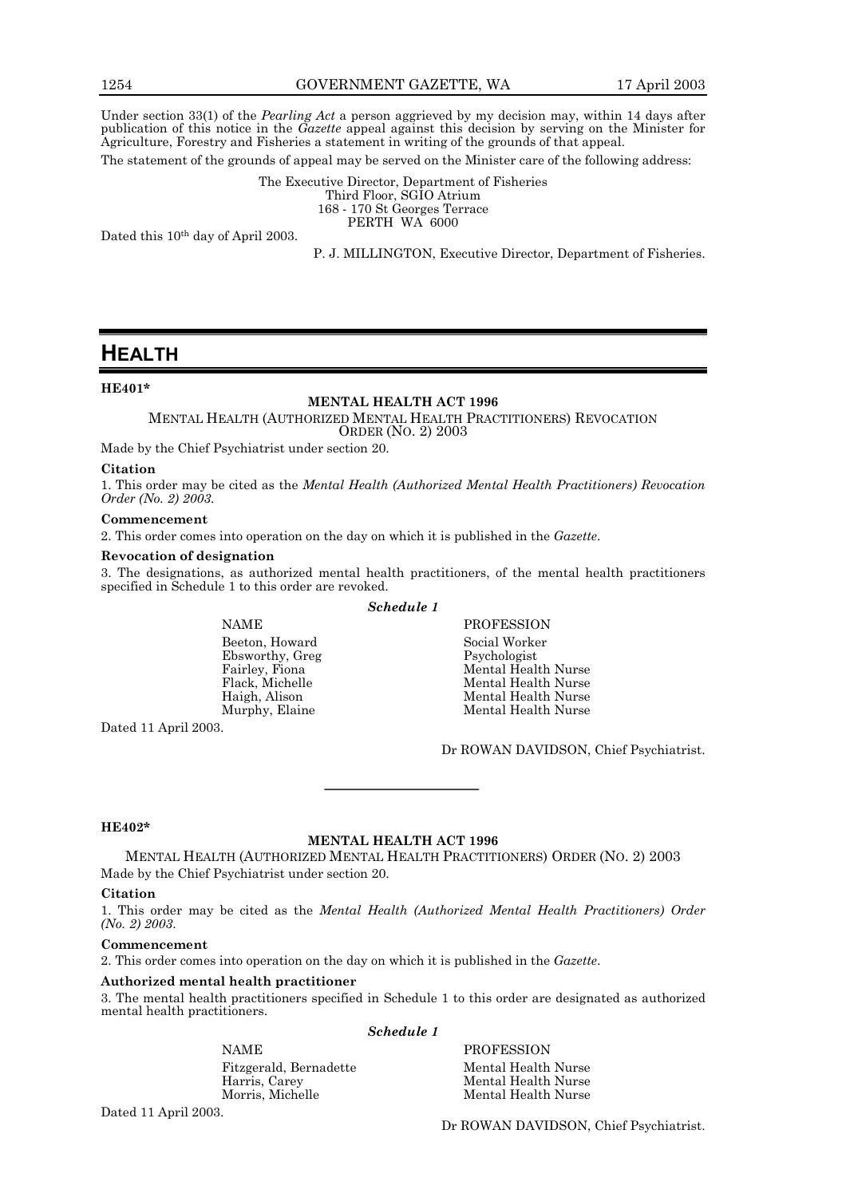Under section 33(1) of the *Pearling Act* a person aggrieved by my decision may, within 14 days after publication of this notice in the *Gazette* appeal against this decision by serving on the Minister for Agriculture, Forestry and Fisheries a statement in writing of the grounds of that appeal.

The statement of the grounds of appeal may be served on the Minister care of the following address:

The Executive Director, Department of Fisheries Third Floor, SGIO Atrium 168 - 170 St Georges Terrace PERTH WA 6000

Dated this 10th day of April 2003.

P. J. MILLINGTON, Executive Director, Department of Fisheries.

## **HEALTH**

#### **HE401\***

#### **MENTAL HEALTH ACT 1996**

MENTAL HEALTH (AUTHORIZED MENTAL HEALTH PRACTITIONERS) REVOCATION ORDER (NO. 2) 2003

Made by the Chief Psychiatrist under section 20.

#### **Citation**

1. This order may be cited as the *Mental Health (Authorized Mental Health Practitioners) Revocation Order (No. 2) 2003*.

#### **Commencement**

2. This order comes into operation on the day on which it is published in the *Gazette*.

#### **Revocation of designation**

3. The designations, as authorized mental health practitioners, of the mental health practitioners specified in Schedule 1 to this order are revoked. *Schedule 1*

Beeton, Howard Social Worker Ebsworthy, Greg

NAME PROFESSION Fairley, Fiona Mental Health Nurse Mental Health Nurse Haigh, Alison Mental Health Nurse Mental Health Nurse

Dated 11 April 2003.

Dr ROWAN DAVIDSON, Chief Psychiatrist.

#### **HE402\***

#### **MENTAL HEALTH ACT 1996**

MENTAL HEALTH (AUTHORIZED MENTAL HEALTH PRACTITIONERS) ORDER (NO. 2) 2003 Made by the Chief Psychiatrist under section 20.

#### **Citation**

1. This order may be cited as the *Mental Health (Authorized Mental Health Practitioners) Order (No. 2) 2003*.

#### **Commencement**

2. This order comes into operation on the day on which it is published in the *Gazette*.

#### **Authorized mental health practitioner**

3. The mental health practitioners specified in Schedule 1 to this order are designated as authorized mental health practitioners. *Schedule 1*

Fitzgerald, Bernadette Mental Health Nurse<br>Harris, Carey Mental Health Nurse Harris, Carey Mental Health Nurse

NAME PROFESSION

Mental Health Nurse

Dated 11 April 2003.

Dr ROWAN DAVIDSON, Chief Psychiatrist.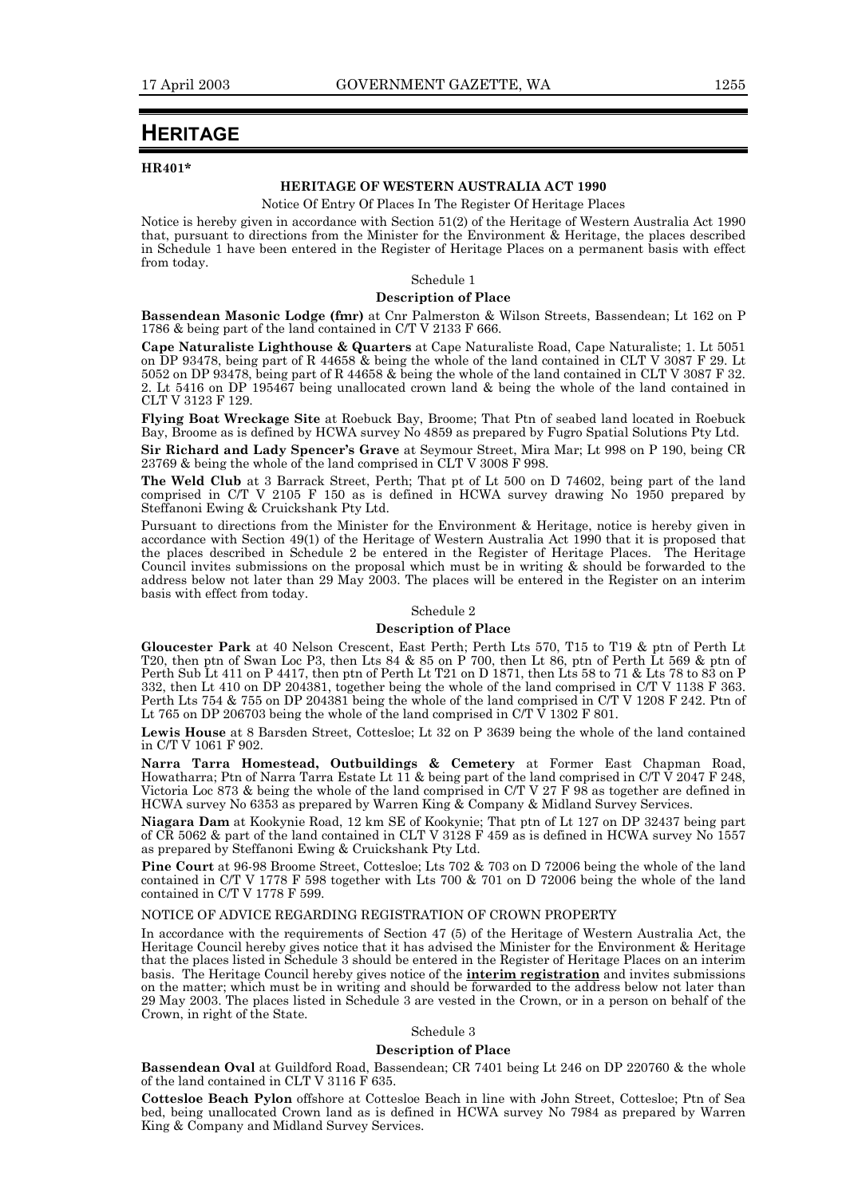## **HERITAGE**

#### **HR401\***

#### **HERITAGE OF WESTERN AUSTRALIA ACT 1990**

Notice Of Entry Of Places In The Register Of Heritage Places

Notice is hereby given in accordance with Section 51(2) of the Heritage of Western Australia Act 1990 that, pursuant to directions from the Minister for the Environment & Heritage, the places described in Schedule 1 have been entered in the Register of Heritage Places on a permanent basis with effect from today.

#### Schedule 1

#### **Description of Place**

**Bassendean Masonic Lodge (fmr)** at Cnr Palmerston & Wilson Streets, Bassendean; Lt 162 on P 1786 & being part of the land contained in C/T V 2133 F 666.

**Cape Naturaliste Lighthouse & Quarters** at Cape Naturaliste Road, Cape Naturaliste; 1. Lt 5051 on DP 93478, being part of R 44658 & being the whole of the land contained in CLT V 3087 F 29. Lt 5052 on DP 93478, being part of R 44658 & being the whole of the land contained in CLT V 3087 F 32. 2. Lt 5416 on DP 195467 being unallocated crown land & being the whole of the land contained in CLT V 3123 F 129.

**Flying Boat Wreckage Site** at Roebuck Bay, Broome; That Ptn of seabed land located in Roebuck Bay, Broome as is defined by HCWA survey No 4859 as prepared by Fugro Spatial Solutions Pty Ltd.

**Sir Richard and Lady Spencerís Grave** at Seymour Street, Mira Mar; Lt 998 on P 190, being CR 23769 & being the whole of the land comprised in CLT V 3008 F 998.

**The Weld Club** at 3 Barrack Street, Perth; That pt of Lt 500 on D 74602, being part of the land comprised in C/T V 2105 F 150 as is defined in HCWA survey drawing No 1950 prepared by Steffanoni Ewing & Cruickshank Pty Ltd.

Pursuant to directions from the Minister for the Environment & Heritage, notice is hereby given in accordance with Section 49(1) of the Heritage of Western Australia Act 1990 that it is proposed that the places described in Schedule 2 be entered in the Register of Heritage Places. The Heritage Council invites submissions on the proposal which must be in writing & should be forwarded to the address below not later than 29 May 2003. The places will be entered in the Register on an interim basis with effect from today.

#### Schedule 2

#### **Description of Place**

**Gloucester Park** at 40 Nelson Crescent, East Perth; Perth Lts 570, T15 to T19 & ptn of Perth Lt T20, then ptn of Swan Loc P3, then Lts 84 & 85 on P 700, then Lt 86, ptn of Perth Lt 569 & ptn of Perth Sub Lt 411 on P 4417, then ptn of Perth Lt T21 on D 1871, then Lts 58 to 71 & Lts 78 to 83 on P 332, then Lt 410 on DP 204381, together being the whole of the land comprised in C/T V 1138 F 363. Perth Lts 754 & 755 on DP 204381 being the whole of the land comprised in C/T V 1208 F 242. Ptn of Lt 765 on DP 206703 being the whole of the land comprised in C/T  $\dot{V}$  1302 F 801.

**Lewis House** at 8 Barsden Street, Cottesloe; Lt 32 on P 3639 being the whole of the land contained in C/T V 1061 F 902.

**Narra Tarra Homestead, Outbuildings & Cemetery** at Former East Chapman Road, Howatharra; Ptn of Narra Tarra Estate Lt 11 & being part of the land comprised in C/T  $\bar{V}$  2047 F 248, Victoria Loc 873 & being the whole of the land comprised in C/T V 27 F 98 as together are defined in HCWA survey No 6353 as prepared by Warren King & Company & Midland Survey Services.

**Niagara Dam** at Kookynie Road, 12 km SE of Kookynie; That ptn of Lt 127 on DP 32437 being part of CR 5062 & part of the land contained in CLT V 3128 F 459 as is defined in HCWA survey No 1557 as prepared by Steffanoni Ewing & Cruickshank Pty Ltd.

**Pine Court** at 96-98 Broome Street, Cottesloe; Lts 702 & 703 on D 72006 being the whole of the land contained in C/T V 1778 F 598 together with Lts 700 & 701 on D 72006 being the whole of the land contained in C/T V 1778 F 599.

#### NOTICE OF ADVICE REGARDING REGISTRATION OF CROWN PROPERTY

In accordance with the requirements of Section 47 (5) of the Heritage of Western Australia Act, the Heritage Council hereby gives notice that it has advised the Minister for the Environment & Heritage that the places listed in Schedule 3 should be entered in the Register of Heritage Places on an interim basis. The Heritage Council hereby gives notice of the **interim registration** and invites submissions on the matter; which must be in writing and should be forwarded to the address below not later than 29 May 2003. The places listed in Schedule 3 are vested in the Crown, or in a person on behalf of the Crown, in right of the State.

#### Schedule 3

#### **Description of Place**

**Bassendean Oval** at Guildford Road, Bassendean; CR 7401 being Lt 246 on DP 220760 & the whole of the land contained in CLT V 3116 F 635.

**Cottesloe Beach Pylon** offshore at Cottesloe Beach in line with John Street, Cottesloe; Ptn of Sea bed, being unallocated Crown land as is defined in HCWA survey No 7984 as prepared by Warren King & Company and Midland Survey Services.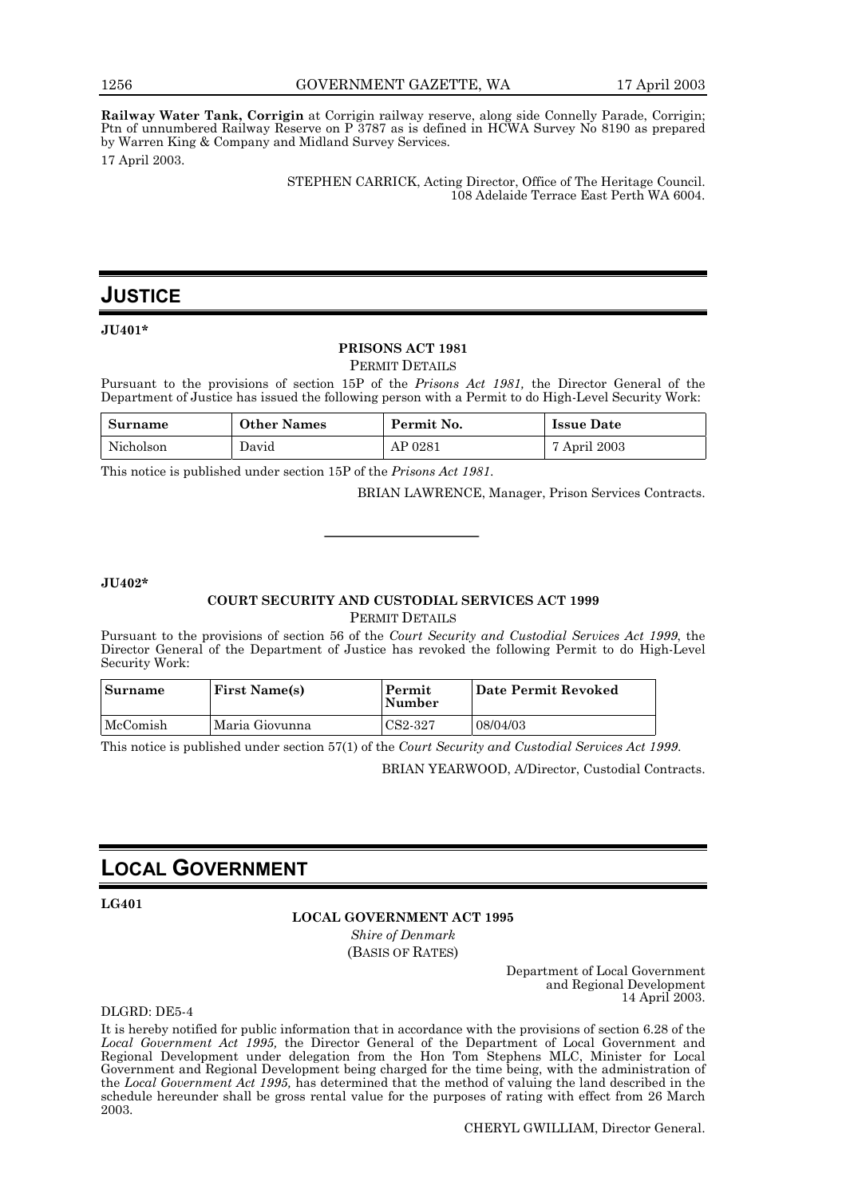**Railway Water Tank, Corrigin** at Corrigin railway reserve, along side Connelly Parade, Corrigin; Ptn of unnumbered Railway Reserve on P 3787 as is defined in HCWA Survey No 8190 as prepared by Warren King & Company and Midland Survey Services. 17 April 2003.

> STEPHEN CARRICK, Acting Director, Office of The Heritage Council. 108 Adelaide Terrace East Perth WA 6004.

## **JUSTICE**

**JU401\***

#### **PRISONS ACT 1981**

PERMIT DETAILS

Pursuant to the provisions of section 15P of the *Prisons Act 1981,* the Director General of the Department of Justice has issued the following person with a Permit to do High-Level Security Work:

| Surname   | <b>Other Names</b> | Permit No. | <b>Issue Date</b> |
|-----------|--------------------|------------|-------------------|
| Nicholson | David              | AP 0281    | 7 April 2003      |

This notice is published under section 15P of the *Prisons Act 1981*.

BRIAN LAWRENCE, Manager, Prison Services Contracts.

#### **JU402\***

#### **COURT SECURITY AND CUSTODIAL SERVICES ACT 1999** PERMIT DETAILS

Pursuant to the provisions of section 56 of the *Court Security and Custodial Services Act 1999*, the Director General of the Department of Justice has revoked the following Permit to do High-Level Security Work:

| Surname  | <b>First Name(s)</b> | Permit<br><b>Number</b> | Date Permit Revoked |
|----------|----------------------|-------------------------|---------------------|
| McComish | Maria Giovunna       | CS2-327                 | 08/04/03            |

This notice is published under section 57(1) of the *Court Security and Custodial Services Act 1999*.

BRIAN YEARWOOD, A/Director, Custodial Contracts.

## **LOCAL GOVERNMENT**

#### **LG401**

#### **LOCAL GOVERNMENT ACT 1995**

*Shire of Denmark* (BASIS OF RATES)

> Department of Local Government and Regional Development 14 April 2003.

DLGRD: DE5-4

It is hereby notified for public information that in accordance with the provisions of section 6.28 of the *Local Government Act 1995,* the Director General of the Department of Local Government and Regional Development under delegation from the Hon Tom Stephens MLC, Minister for Local Government and Regional Development being charged for the time being, with the administration of the *Local Government Act 1995,* has determined that the method of valuing the land described in the schedule hereunder shall be gross rental value for the purposes of rating with effect from 26 March 2003.

CHERYL GWILLIAM, Director General.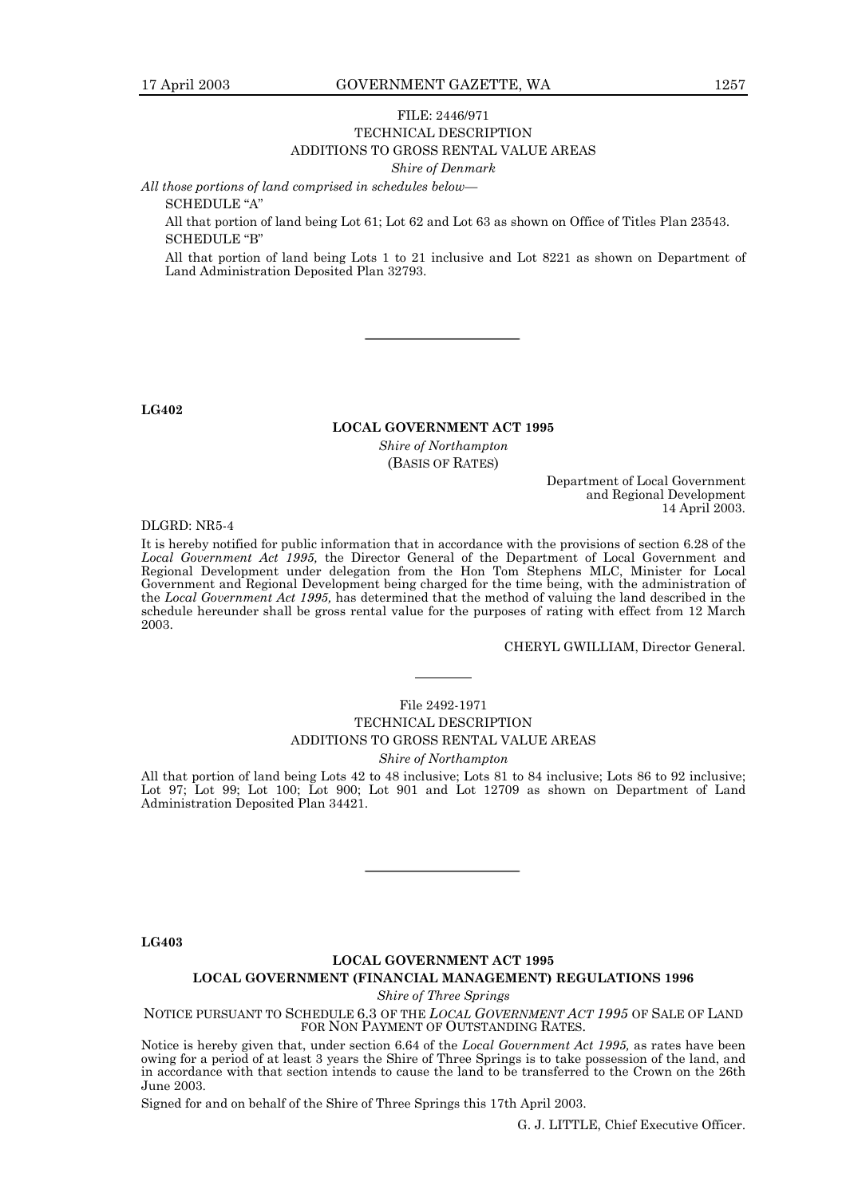#### FILE: 2446/971 TECHNICAL DESCRIPTION ADDITIONS TO GROSS RENTAL VALUE AREAS

*Shire of Denmark*

All those portions of land comprised in schedules below—

SCHEDULE "A"

All that portion of land being Lot 61; Lot 62 and Lot 63 as shown on Office of Titles Plan 23543. SCHEDULE "B"

All that portion of land being Lots 1 to 21 inclusive and Lot 8221 as shown on Department of Land Administration Deposited Plan 32793.

**LG402**

#### **LOCAL GOVERNMENT ACT 1995**

*Shire of Northampton* (BASIS OF RATES)

> Department of Local Government and Regional Development 14 April 2003.

DLGRD: NR5-4

It is hereby notified for public information that in accordance with the provisions of section 6.28 of the *Local Government Act 1995,* the Director General of the Department of Local Government and Regional Development under delegation from the Hon Tom Stephens MLC, Minister for Local Government and Regional Development being charged for the time being, with the administration of the *Local Government Act 1995,* has determined that the method of valuing the land described in the schedule hereunder shall be gross rental value for the purposes of rating with effect from 12 March 2003.

CHERYL GWILLIAM, Director General.

#### File 2492-1971

#### TECHNICAL DESCRIPTION ADDITIONS TO GROSS RENTAL VALUE AREAS *Shire of Northampton*

All that portion of land being Lots 42 to 48 inclusive; Lots 81 to 84 inclusive; Lots 86 to 92 inclusive; Lot 97; Lot 99; Lot 100; Lot 900; Lot 901 and Lot 12709 as shown on Department of Land Administration Deposited Plan 34421.

**LG403**

#### **LOCAL GOVERNMENT ACT 1995**

#### **LOCAL GOVERNMENT (FINANCIAL MANAGEMENT) REGULATIONS 1996**

*Shire of Three Springs*

NOTICE PURSUANT TO SCHEDULE 6.3 OF THE *LOCAL GOVERNMENT ACT 1995* OF SALE OF LAND FOR NON PAYMENT OF OUTSTANDING RATES.

Notice is hereby given that, under section 6.64 of the *Local Government Act 1995,* as rates have been owing for a period of at least 3 years the Shire of Three Springs is to take possession of the land, and in accordance with that section intends to cause the land to be transferred to the Crown on the 26th June 2003.

Signed for and on behalf of the Shire of Three Springs this 17th April 2003.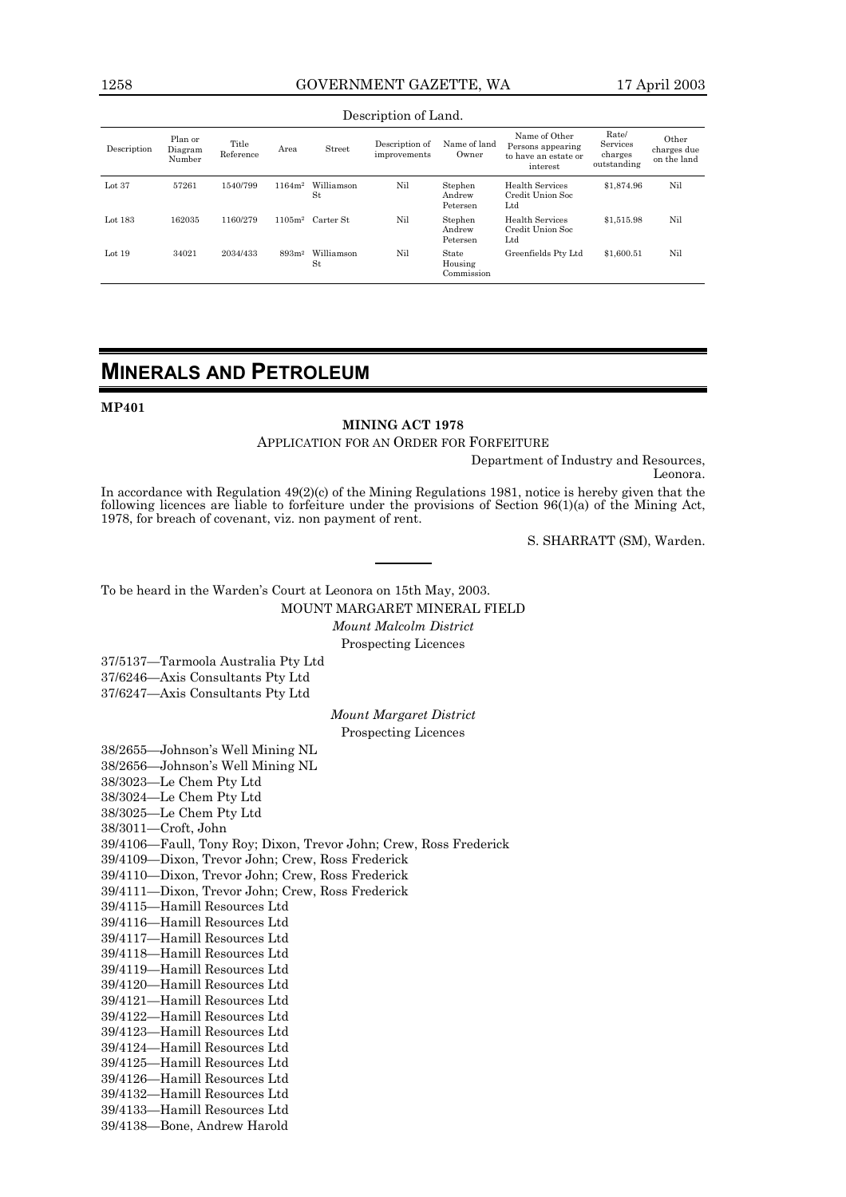#### 1258 GOVERNMENT GAZETTE, WA 17 April 2003

#### Description of Land.

| Description | Plan or<br>Diagram<br>Number | Title<br>Reference | Area               | Street           | Description of<br>improvements | Name of land<br>Owner          | Name of Other<br>Persons appearing<br>to have an estate or<br>interest | Rate/<br>Services<br>charges<br>outstanding | Other<br>charges due<br>on the land |
|-------------|------------------------------|--------------------|--------------------|------------------|--------------------------------|--------------------------------|------------------------------------------------------------------------|---------------------------------------------|-------------------------------------|
| Lot $37$    | 57261                        | 1540/799           | 1164m <sup>2</sup> | Williamson<br>St | Nil                            | Stephen<br>Andrew<br>Petersen  | Health Services<br>Credit Union Soc<br>$_{\rm Ltd}$                    | \$1,874.96                                  | Nil                                 |
| Lot $183$   | 162035                       | 1160/279           | 1105m <sup>2</sup> | Carter St.       | Nil                            | Stephen<br>Andrew<br>Petersen  | Health Services<br>Credit Union Soc<br>$_{\rm Ltd}$                    | \$1,515.98                                  | Nil                                 |
| Lot $19$    | 34021                        | 2034/433           | 893m <sup>2</sup>  | Williamson<br>St | Nil                            | State<br>Housing<br>Commission | Greenfields Pty Ltd                                                    | \$1,600.51                                  | Nil                                 |

## **MINERALS AND PETROLEUM**

**MP401**

#### **MINING ACT 1978**

APPLICATION FOR AN ORDER FOR FORFEITURE

Department of Industry and Resources,

Leonora.

In accordance with Regulation 49(2)(c) of the Mining Regulations 1981, notice is hereby given that the following licences are liable to forfeiture under the provisions of Section 96(1)(a) of the Mining Act, 1978, for breach of covenant, viz. non payment of rent.

S. SHARRATT (SM), Warden.

To be heard in the Warden's Court at Leonora on 15th May, 2003.

MOUNT MARGARET MINERAL FIELD

*Mount Malcolm District* Prospecting Licences

37/5137-Tarmoola Australia Pty Ltd 37/6246-Axis Consultants Pty Ltd 37/6247-Axis Consultants Pty Ltd

#### *Mount Margaret District*

Prospecting Licences

38/2655-Johnson's Well Mining NL 38/2656-Johnson's Well Mining NL 38/3023-Le Chem Pty Ltd 38/3024-Le Chem Pty Ltd 38/3025-Le Chem Pty Ltd 38/3011-Croft, John 39/4106-Faull, Tony Roy; Dixon, Trevor John; Crew, Ross Frederick 39/4109-Dixon, Trevor John; Crew, Ross Frederick 39/4110-Dixon, Trevor John; Crew, Ross Frederick 39/4111-Dixon, Trevor John; Crew, Ross Frederick 39/4115-Hamill Resources Ltd 39/4116-Hamill Resources Ltd 39/4117-Hamill Resources Ltd 39/4118-Hamill Resources Ltd 39/4119-Hamill Resources Ltd 39/4120-Hamill Resources Ltd 39/4121-Hamill Resources Ltd 39/4122-Hamill Resources Ltd 39/4123-Hamill Resources Ltd 39/4124-Hamill Resources Ltd 39/4125—Hamill Resources Ltd 39/4126-Hamill Resources Ltd 39/4132-Hamill Resources Ltd 39/4133-Hamill Resources Ltd 39/4138-Bone, Andrew Harold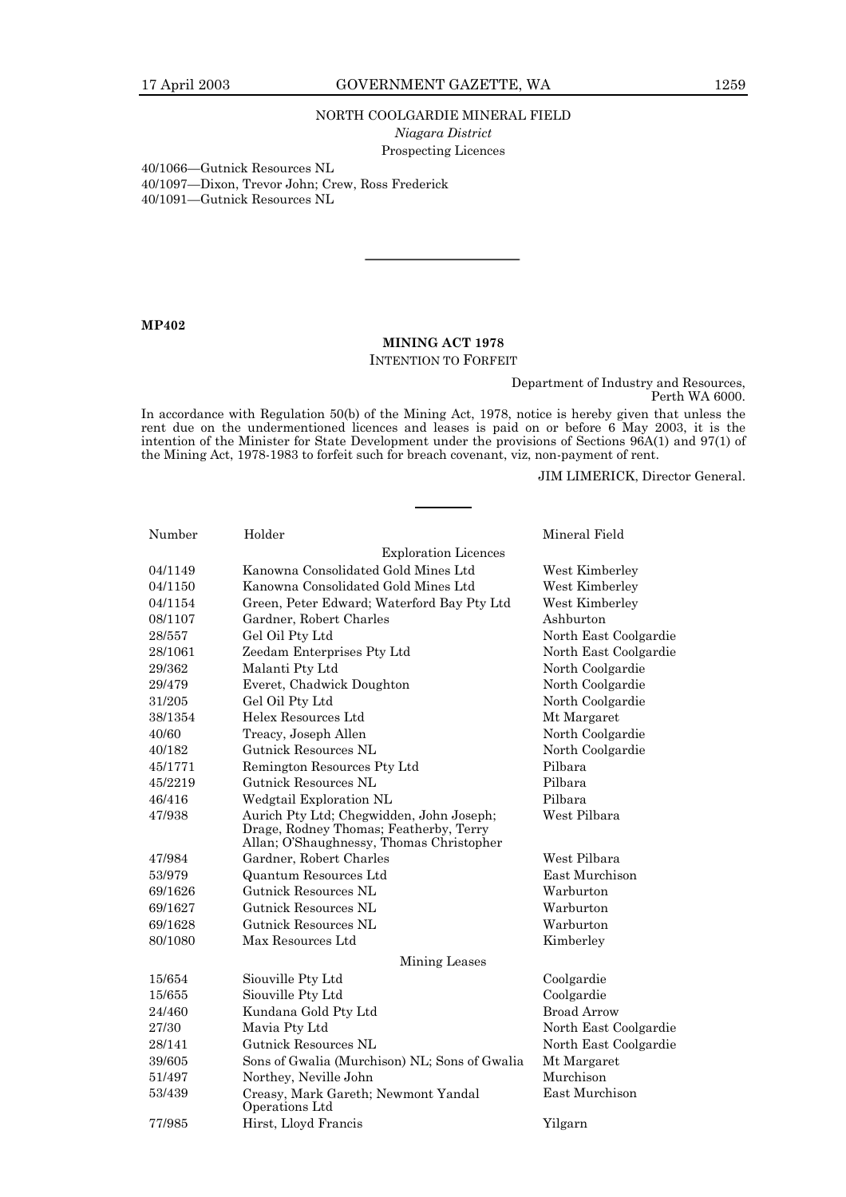#### 17 April 2003 GOVERNMENT GAZETTE, WA 1259

#### NORTH COOLGARDIE MINERAL FIELD

*Niagara District*

Prospecting Licences

40/1066-Gutnick Resources NL

40/1097—Dixon, Trevor John; Crew, Ross Frederick

40/1091-Gutnick Resources NL

#### **MP402**

#### **MINING ACT 1978**

#### INTENTION TO FORFEIT

Department of Industry and Resources, Perth WA 6000.

In accordance with Regulation 50(b) of the Mining Act, 1978, notice is hereby given that unless the rent due on the undermentioned licences and leases is paid on or before 6 May 2003, it is the intention of the Minister for State Development under the provisions of Sections 96A(1) and 97(1) of the Mining Act, 1978-1983 to forfeit such for breach covenant, viz, non-payment of rent.

JIM LIMERICK, Director General.

| Number             | Holder                                                                                             | Mineral Field         |  |  |  |
|--------------------|----------------------------------------------------------------------------------------------------|-----------------------|--|--|--|
|                    | <b>Exploration Licences</b>                                                                        |                       |  |  |  |
| 04/1149            | Kanowna Consolidated Gold Mines Ltd                                                                | West Kimberley        |  |  |  |
| 04/1150            | Kanowna Consolidated Gold Mines Ltd                                                                | West Kimberley        |  |  |  |
| 04/1154            | Green, Peter Edward; Waterford Bay Pty Ltd                                                         | West Kimberley        |  |  |  |
| 08/1107            | Gardner, Robert Charles                                                                            | Ashburton             |  |  |  |
| 28/557             | Gel Oil Pty Ltd                                                                                    | North East Coolgardie |  |  |  |
| 28/1061            | Zeedam Enterprises Pty Ltd                                                                         | North East Coolgardie |  |  |  |
| 29/362             | Malanti Pty Ltd                                                                                    | North Coolgardie      |  |  |  |
| 29/479             | Everet, Chadwick Doughton                                                                          | North Coolgardie      |  |  |  |
| 31/205             | Gel Oil Pty Ltd                                                                                    | North Coolgardie      |  |  |  |
| 38/1354            | Helex Resources Ltd                                                                                | Mt Margaret           |  |  |  |
| 40/60              | Treacy, Joseph Allen                                                                               | North Coolgardie      |  |  |  |
| 40/182             | Gutnick Resources NL                                                                               | North Coolgardie      |  |  |  |
| 45/1771            | Remington Resources Pty Ltd                                                                        | Pilbara               |  |  |  |
| 45/2219            | Gutnick Resources NL                                                                               | Pilbara               |  |  |  |
| 46/416             | Wedgtail Exploration NL                                                                            | Pilhara               |  |  |  |
| 47/938             | West Pilbara<br>Aurich Pty Ltd; Chegwidden, John Joseph;<br>Drage, Rodney Thomas; Featherby, Terry |                       |  |  |  |
| 47/984             | Allan; O'Shaughnessy, Thomas Christopher                                                           | West Pilbara          |  |  |  |
| 53/979             | Gardner, Robert Charles                                                                            | East Murchison        |  |  |  |
| 69/1626            | Quantum Resources Ltd<br>Gutnick Resources NL                                                      | Warburton             |  |  |  |
|                    | Gutnick Resources NL                                                                               | Warburton             |  |  |  |
| 69/1627            | Gutnick Resources NL                                                                               |                       |  |  |  |
| 69/1628<br>80/1080 | Max Resources Ltd                                                                                  | Warburton             |  |  |  |
|                    |                                                                                                    | Kimberley             |  |  |  |
|                    | Mining Leases                                                                                      |                       |  |  |  |
| 15/654             | Siouville Pty Ltd                                                                                  | Coolgardie            |  |  |  |
| 15/655             | Siouville Pty Ltd                                                                                  | Coolgardie            |  |  |  |
| 24/460             | Kundana Gold Pty Ltd                                                                               | <b>Broad Arrow</b>    |  |  |  |
| 27/30              | Mavia Pty Ltd                                                                                      | North East Coolgardie |  |  |  |
| 28/141             | Gutnick Resources NL                                                                               | North East Coolgardie |  |  |  |
| 39/605             | Sons of Gwalia (Murchison) NL; Sons of Gwalia                                                      | Mt Margaret           |  |  |  |
| 51/497             | Northey, Neville John                                                                              | Murchison             |  |  |  |
| 53/439             | Creasy, Mark Gareth; Newmont Yandal<br>Operations Ltd                                              | East Murchison        |  |  |  |
| 77/985             | Hirst, Lloyd Francis                                                                               | Yilgarn               |  |  |  |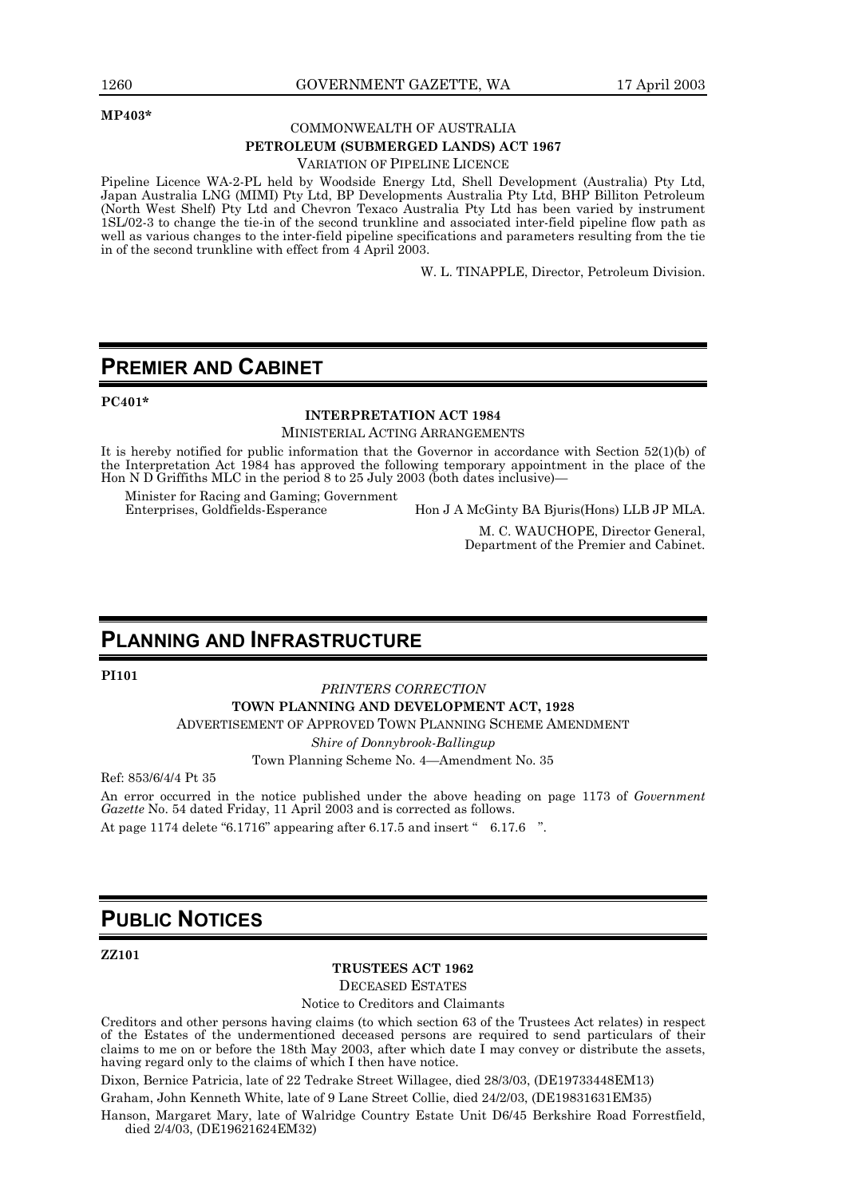#### **MP403\***

#### COMMONWEALTH OF AUSTRALIA

#### **PETROLEUM (SUBMERGED LANDS) ACT 1967**

#### VARIATION OF PIPELINE LICENCE

Pipeline Licence WA-2-PL held by Woodside Energy Ltd, Shell Development (Australia) Pty Ltd, Japan Australia LNG (MIMI) Pty Ltd, BP Developments Australia Pty Ltd, BHP Billiton Petroleum (North West Shelf) Pty Ltd and Chevron Texaco Australia Pty Ltd has been varied by instrument 1SL/02-3 to change the tie-in of the second trunkline and associated inter-field pipeline flow path as well as various changes to the inter-field pipeline specifications and parameters resulting from the tie in of the second trunkline with effect from 4 April 2003.

W. L. TINAPPLE, Director, Petroleum Division.

## **PREMIER AND CABINET**

**PC401\***

#### **INTERPRETATION ACT 1984**

#### MINISTERIAL ACTING ARRANGEMENTS

It is hereby notified for public information that the Governor in accordance with Section 52(1)(b) of the Interpretation Act 1984 has approved the following temporary appointment in the place of the Hon N D Griffiths MLC in the period 8 to 25 July 2003 (both dates inclusive)—

Minister for Racing and Gaming; Government

Enterprises, Goldfields-Esperance Hon J A McGinty BA Bjuris(Hons) LLB JP MLA.

M. C. WAUCHOPE, Director General, Department of the Premier and Cabinet.

## **PLANNING AND INFRASTRUCTURE**

**PI101**

#### *PRINTERS CORRECTION*

**TOWN PLANNING AND DEVELOPMENT ACT, 1928**

ADVERTISEMENT OF APPROVED TOWN PLANNING SCHEME AMENDMENT

*Shire of Donnybrook-Ballingup*

Town Planning Scheme No. 4-Amendment No. 35

Ref: 853/6/4/4 Pt 35

An error occurred in the notice published under the above heading on page 1173 of *Government* Gazette No. 54 dated Friday, 11 April 2003 and is corrected as follows. At page 1174 delete  $\degree$ 6.1716 $\degree$  appearing after 6.17.5 and insert  $\degree$  6.17.6  $\degree$ .

## **PUBLIC NOTICES**

**ZZ101**

#### **TRUSTEES ACT 1962**

DECEASED ESTATES

Notice to Creditors and Claimants

Creditors and other persons having claims (to which section 63 of the Trustees Act relates) in respect of the Estates of the undermentioned deceased persons are required to send particulars of their claims to me on or before the 18th May 2003, after which date I may convey or distribute the assets, having regard only to the claims of which I then have notice.

Dixon, Bernice Patricia, late of 22 Tedrake Street Willagee, died 28/3/03, (DE19733448EM13)

Graham, John Kenneth White, late of 9 Lane Street Collie, died 24/2/03, (DE19831631EM35)

Hanson, Margaret Mary, late of Walridge Country Estate Unit D6/45 Berkshire Road Forrestfield, died 2/4/03, (DE19621624EM32)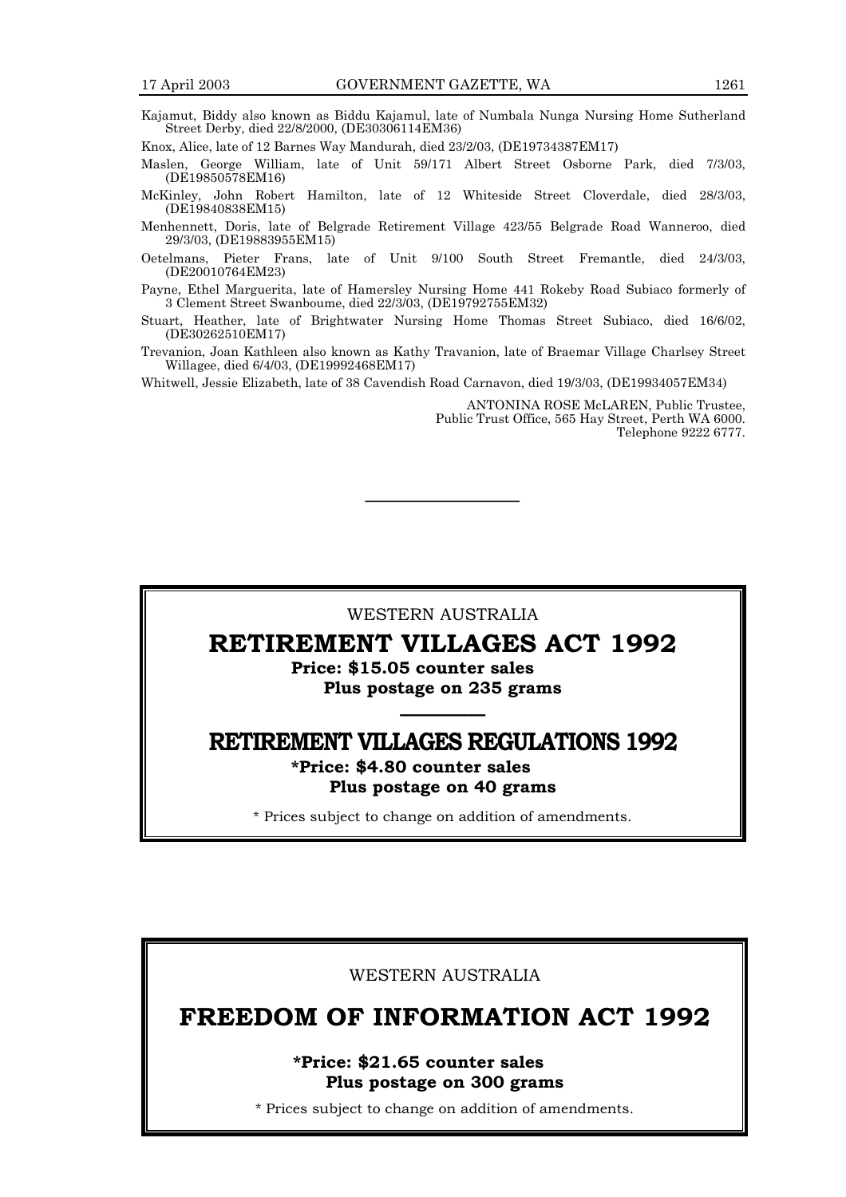Kajamut, Biddy also known as Biddu Kajamul, late of Numbala Nunga Nursing Home Sutherland Street Derby, died 22/8/2000, (DE30306114EM36)

Knox, Alice, late of 12 Barnes Way Mandurah, died 23/2/03, (DE19734387EM17)

Maslen, George William, late of Unit 59/171 Albert Street Osborne Park, died 7/3/03, (DE19850578EM16)

McKinley, John Robert Hamilton, late of 12 Whiteside Street Cloverdale, died 28/3/03, (DE19840838EM15)

Menhennett, Doris, late of Belgrade Retirement Village 423/55 Belgrade Road Wanneroo, died 29/3/03, (DE19883955EM15)

Oetelmans, Pieter Frans, late of Unit 9/100 South Street Fremantle, died 24/3/03, (DE20010764EM23)

Payne, Ethel Marguerita, late of Hamersley Nursing Home 441 Rokeby Road Subiaco formerly of 3 Clement Street Swanboume, died 22/3/03, (DE19792755EM32)

- Stuart, Heather, late of Brightwater Nursing Home Thomas Street Subiaco, died 16/6/02, (DE30262510EM17)
- Trevanion, Joan Kathleen also known as Kathy Travanion, late of Braemar Village Charlsey Street Willagee, died 6/4/03, (DE19992468EM17)

Whitwell, Jessie Elizabeth, late of 38 Cavendish Road Carnavon, died 19/3/03, (DE19934057EM34)

ANTONINA ROSE McLAREN, Public Trustee, Public Trust Office, 565 Hay Street, Perth WA 6000. Telephone 9222 6777.

#### WESTERN AUSTRALIA

## RETIREMENT VILLAGES ACT 1992

Price: \$15.05 counter sales Plus postage on 235 grams

## <u>óóóóóóóóóóóóóóóó</u> RETIREMENT VILLAGES REGULATIONS 1992

\*Price: \$4.80 counter sales Plus postage on 40 grams

\* Prices subject to change on addition of amendments.

WESTERN AUSTRALIA

## FREEDOM OF INFORMATION ACT 1992

\*Price: \$21.65 counter sales Plus postage on 300 grams

\* Prices subject to change on addition of amendments.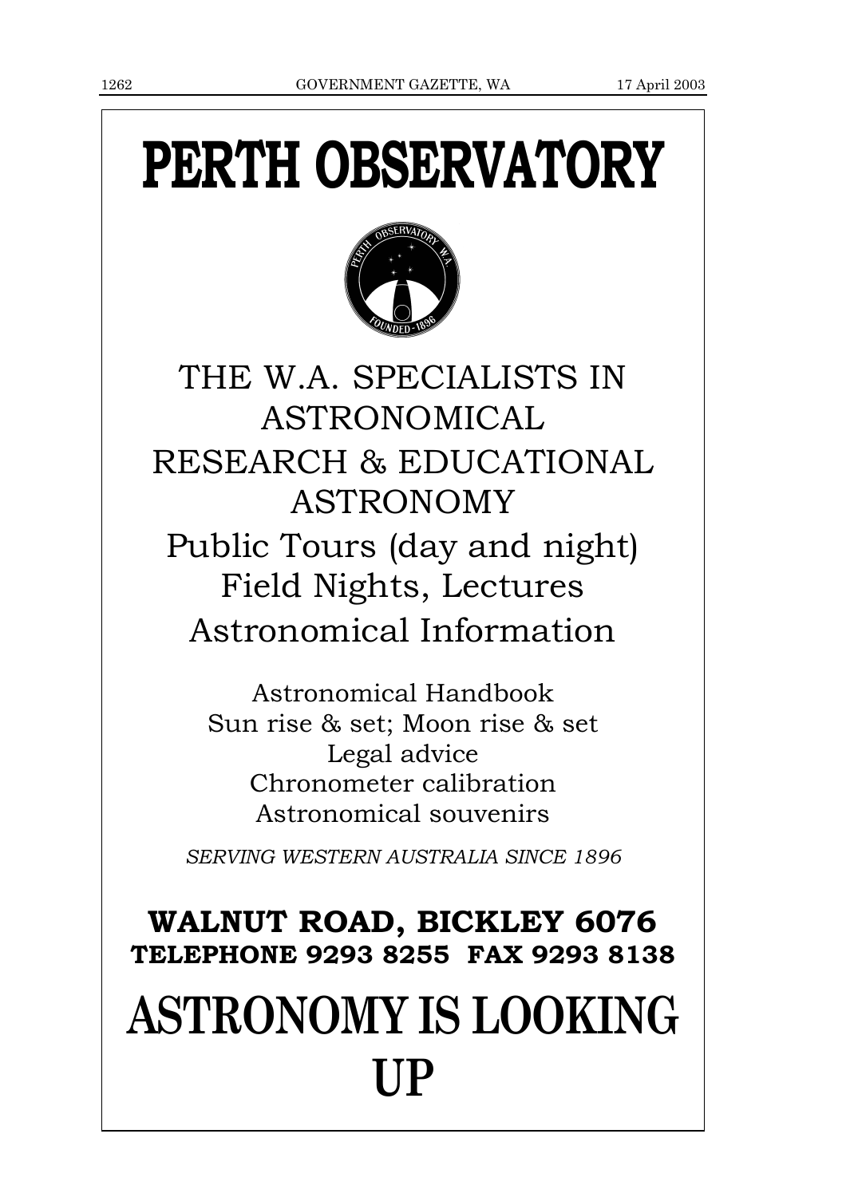# PERTH OBSERVATORY



THE W.A. SPECIALISTS IN ASTRONOMICAL RESEARCH & EDUCATIONAL ASTRONOMY Public Tours (day and night) Field Nights, Lectures Astronomical Information

> Astronomical Handbook Sun rise & set; Moon rise & set Legal advice Chronometer calibration Astronomical souvenirs

*SERVING WESTERN AUSTRALIA SINCE 1896*

# WALNUT ROAD, BICKLEY 6076 TELEPHONE 9293 8255 FAX 9293 8138 **ASTRONOMY IS LOOKING UP**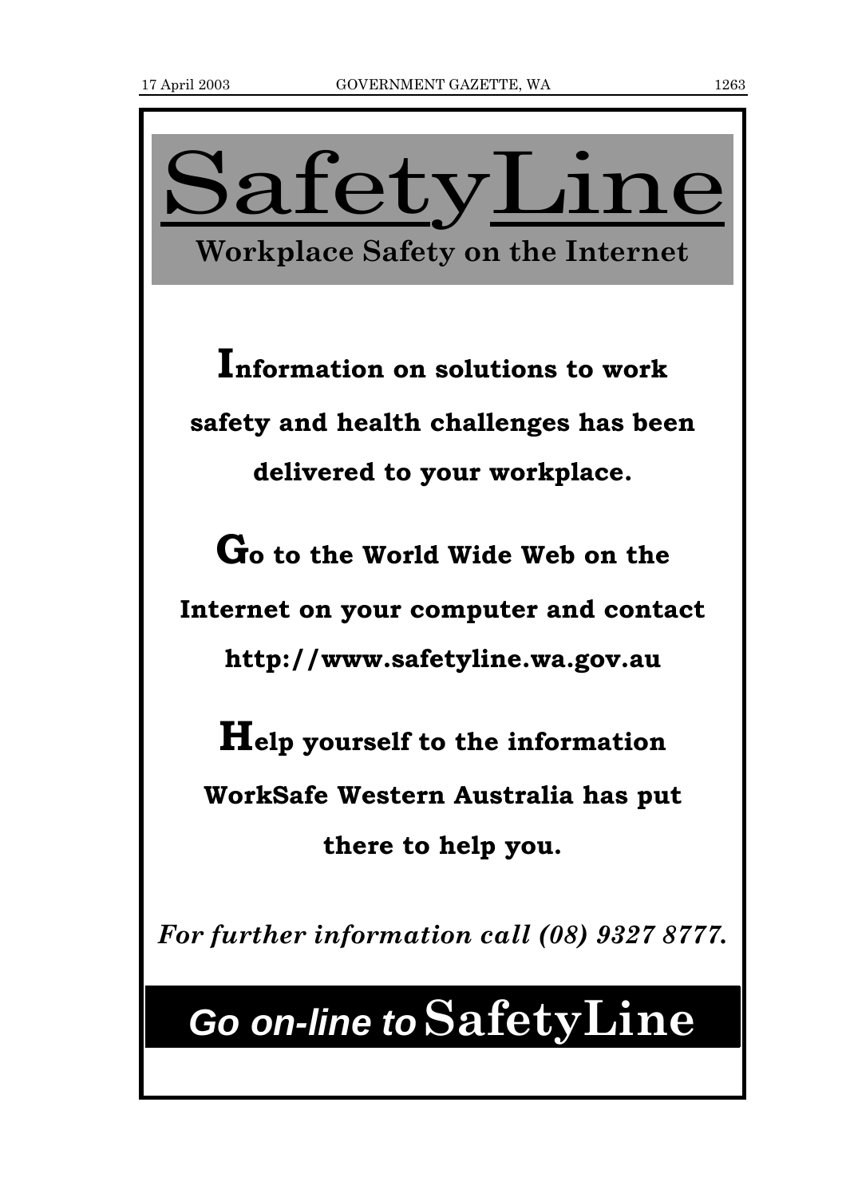

# **Go on-line toSafetyLine**